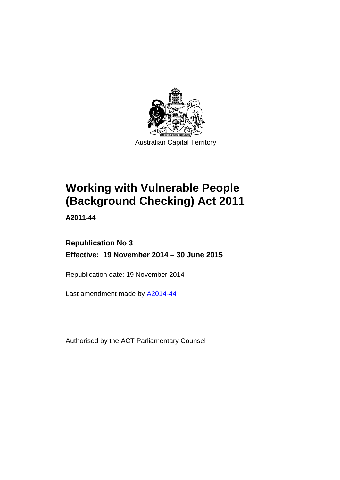

# **Working with Vulnerable People (Background Checking) Act 2011**

**A2011-44** 

# **Republication No 3 Effective: 19 November 2014 – 30 June 2015**

Republication date: 19 November 2014

Last amendment made by [A2014-44](http://www.legislation.act.gov.au/a/2014-44)

Authorised by the ACT Parliamentary Counsel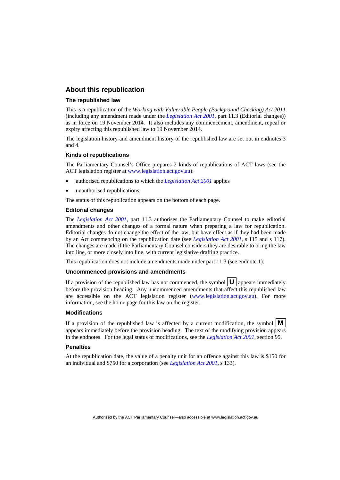### **About this republication**

#### **The republished law**

This is a republication of the *Working with Vulnerable People (Background Checking) Act 2011* (including any amendment made under the *[Legislation Act 2001](http://www.legislation.act.gov.au/a/2001-14)*, part 11.3 (Editorial changes)) as in force on 19 November 2014*.* It also includes any commencement, amendment, repeal or expiry affecting this republished law to 19 November 2014.

The legislation history and amendment history of the republished law are set out in endnotes 3 and 4.

#### **Kinds of republications**

The Parliamentary Counsel's Office prepares 2 kinds of republications of ACT laws (see the ACT legislation register at [www.legislation.act.gov.au](http://www.legislation.act.gov.au/)):

- authorised republications to which the *[Legislation Act 2001](http://www.legislation.act.gov.au/a/2001-14)* applies
- unauthorised republications.

The status of this republication appears on the bottom of each page.

#### **Editorial changes**

The *[Legislation Act 2001](http://www.legislation.act.gov.au/a/2001-14)*, part 11.3 authorises the Parliamentary Counsel to make editorial amendments and other changes of a formal nature when preparing a law for republication. Editorial changes do not change the effect of the law, but have effect as if they had been made by an Act commencing on the republication date (see *[Legislation Act 2001](http://www.legislation.act.gov.au/a/2001-14)*, s 115 and s 117). The changes are made if the Parliamentary Counsel considers they are desirable to bring the law into line, or more closely into line, with current legislative drafting practice.

This republication does not include amendments made under part 11.3 (see endnote 1).

#### **Uncommenced provisions and amendments**

If a provision of the republished law has not commenced, the symbol  $\mathbf{U}$  appears immediately before the provision heading. Any uncommenced amendments that affect this republished law are accessible on the ACT legislation register [\(www.legislation.act.gov.au\)](http://www.legislation.act.gov.au/). For more information, see the home page for this law on the register.

#### **Modifications**

If a provision of the republished law is affected by a current modification, the symbol  $\mathbf{M}$ appears immediately before the provision heading. The text of the modifying provision appears in the endnotes. For the legal status of modifications, see the *[Legislation Act 2001](http://www.legislation.act.gov.au/a/2001-14)*, section 95.

#### **Penalties**

At the republication date, the value of a penalty unit for an offence against this law is \$150 for an individual and \$750 for a corporation (see *[Legislation Act 2001](http://www.legislation.act.gov.au/a/2001-14)*, s 133).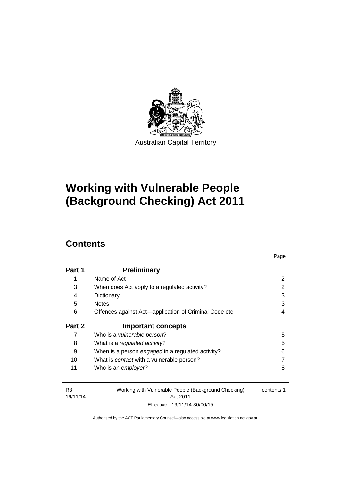

# **Working with Vulnerable People (Background Checking) Act 2011**

# **Contents**

| Part 1 | <b>Preliminary</b>                                    |   |
|--------|-------------------------------------------------------|---|
| 1      | Name of Act                                           | 2 |
| 3      | When does Act apply to a regulated activity?          | 2 |
| 4      | Dictionary                                            | 3 |
| 5      | <b>Notes</b>                                          | 3 |
| 6      | Offences against Act-application of Criminal Code etc | 4 |
|        |                                                       |   |
| Part 2 | <b>Important concepts</b>                             |   |
| 7      | Who is a <i>vulnerable person</i> ?                   | 5 |
| 8      | What is a regulated activity?                         | 5 |
| 9      | When is a person engaged in a regulated activity?     | 6 |
| 10     | What is <i>contact</i> with a vulnerable person?      |   |

Page

| R3<br>Working with Vulnerable People (Background Checking) |                              | contents 1 |  |
|------------------------------------------------------------|------------------------------|------------|--|
| 19/11/14                                                   | Act 2011                     |            |  |
|                                                            | Effective: 19/11/14-30/06/15 |            |  |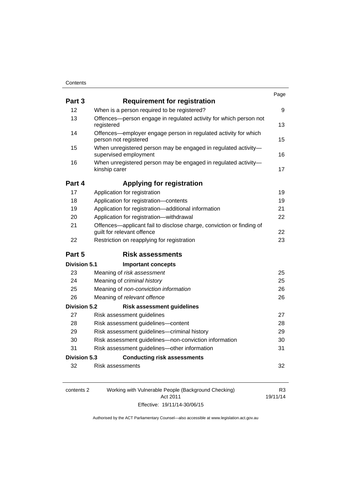| Part 3              | <b>Requirement for registration</b>                                                                |    |
|---------------------|----------------------------------------------------------------------------------------------------|----|
| 12                  | When is a person required to be registered?                                                        | 9  |
| 13                  | Offences-person engage in regulated activity for which person not<br>registered                    | 13 |
| 14                  | Offences—employer engage person in regulated activity for which<br>person not registered           | 15 |
| 15                  | When unregistered person may be engaged in regulated activity-<br>supervised employment            | 16 |
| 16                  | When unregistered person may be engaged in regulated activity-<br>kinship carer                    | 17 |
| Part 4              | <b>Applying for registration</b>                                                                   |    |
| 17                  | Application for registration                                                                       | 19 |
| 18                  | Application for registration-contents                                                              | 19 |
| 19                  | Application for registration-additional information                                                | 21 |
| 20                  | Application for registration-withdrawal                                                            | 22 |
| 21                  | Offences-applicant fail to disclose charge, conviction or finding of<br>guilt for relevant offence | 22 |
| 22                  | Restriction on reapplying for registration                                                         | 23 |
| Part 5              | <b>Risk assessments</b>                                                                            |    |
| Division 5.1        | <b>Important concepts</b>                                                                          |    |
| 23                  | Meaning of risk assessment                                                                         | 25 |
| 24                  | Meaning of criminal history                                                                        | 25 |
| 25                  | Meaning of non-conviction information                                                              | 26 |
| 26                  | Meaning of relevant offence                                                                        | 26 |
| <b>Division 5.2</b> | <b>Risk assessment guidelines</b>                                                                  |    |
| 27                  | Risk assessment guidelines                                                                         | 27 |
| 28                  | Risk assessment guidelines-content                                                                 | 28 |
| 29                  | Risk assessment guidelines-criminal history                                                        | 29 |
| 30                  | Risk assessment guidelines-non-conviction information                                              | 30 |
| 31                  | Risk assessment guidelines-other information                                                       | 31 |
| <b>Division 5.3</b> | <b>Conducting risk assessments</b>                                                                 |    |
| 32                  | Risk assessments                                                                                   | 32 |

| contents 2 | Working with Vulnerable People (Background Checking) | R3       |
|------------|------------------------------------------------------|----------|
|            | Act 2011                                             | 19/11/14 |
|            | Effective: 19/11/14-30/06/15                         |          |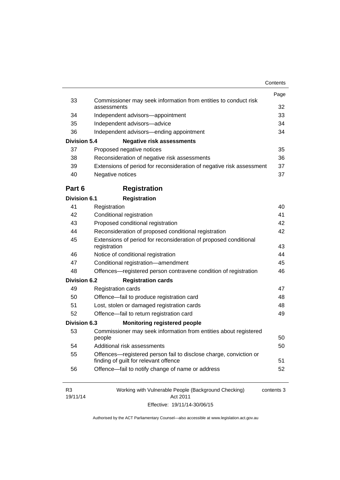|                            |                                                                                  | Page       |
|----------------------------|----------------------------------------------------------------------------------|------------|
| 33                         | Commissioner may seek information from entities to conduct risk<br>assessments   | 32         |
| 34                         | Independent advisors-appointment                                                 | 33         |
| 35                         | Independent advisors-advice                                                      | 34         |
| 36                         | Independent advisors—ending appointment                                          | 34         |
| <b>Division 5.4</b>        | <b>Negative risk assessments</b>                                                 |            |
| 37                         | Proposed negative notices                                                        | 35         |
| 38                         | Reconsideration of negative risk assessments                                     | 36         |
| 39                         | Extensions of period for reconsideration of negative risk assessment             | 37         |
| 40                         | Negative notices                                                                 | 37         |
| Part 6                     | <b>Registration</b>                                                              |            |
| <b>Division 6.1</b>        | <b>Registration</b>                                                              |            |
| 41                         | Registration                                                                     | 40         |
| 42                         | Conditional registration                                                         | 41         |
| 43                         | Proposed conditional registration                                                | 42         |
| 44                         | Reconsideration of proposed conditional registration                             | 42         |
| 45                         | Extensions of period for reconsideration of proposed conditional<br>registration |            |
| 46                         | Notice of conditional registration                                               | 43<br>44   |
| 47                         | Conditional registration-amendment                                               | 45         |
| 48                         | Offences-registered person contravene condition of registration                  | 46         |
| <b>Division 6.2</b>        | <b>Registration cards</b>                                                        |            |
| 49                         | <b>Registration cards</b>                                                        | 47         |
| 50                         | Offence-fail to produce registration card                                        | 48         |
| 51                         | Lost, stolen or damaged registration cards                                       | 48         |
| 52                         | Offence-fail to return registration card                                         | 49         |
| <b>Division 6.3</b>        | <b>Monitoring registered people</b>                                              |            |
| 53                         | Commissioner may seek information from entities about registered<br>people       | 50         |
| 54                         | Additional risk assessments                                                      | 50         |
| 55                         | Offences—registered person fail to disclose charge, conviction or                |            |
|                            | finding of guilt for relevant offence                                            | 51         |
| 56                         | Offence-fail to notify change of name or address                                 | 52         |
| R <sub>3</sub><br>19/11/14 | Working with Vulnerable People (Background Checking)<br>Act 2011                 | contents 3 |

Effective: 19/11/14-30/06/15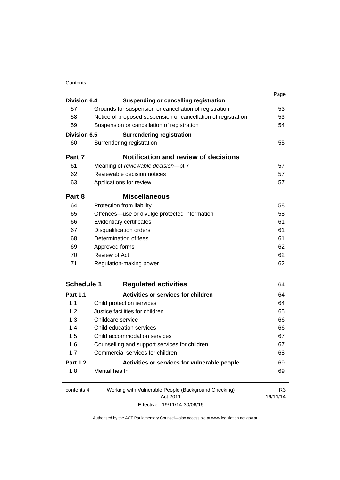### **Contents**

| Division 6.4        |                                                               | Page                       |
|---------------------|---------------------------------------------------------------|----------------------------|
|                     | <b>Suspending or cancelling registration</b>                  |                            |
| 57                  | Grounds for suspension or cancellation of registration        | 53                         |
| 58                  | Notice of proposed suspension or cancellation of registration | 53                         |
| 59                  | Suspension or cancellation of registration                    | 54                         |
| <b>Division 6.5</b> | <b>Surrendering registration</b>                              |                            |
| 60                  | Surrendering registration                                     | 55                         |
| Part 7              | <b>Notification and review of decisions</b>                   |                            |
| 61                  | Meaning of reviewable decision-pt 7                           | 57                         |
| 62                  | Reviewable decision notices                                   | 57                         |
| 63                  | Applications for review                                       | 57                         |
| Part 8              | <b>Miscellaneous</b>                                          |                            |
| 64                  | Protection from liability                                     | 58                         |
| 65                  | Offences—use or divulge protected information                 | 58                         |
| 66                  | Evidentiary certificates                                      | 61                         |
| 67                  | <b>Disqualification orders</b>                                | 61                         |
| 68                  | Determination of fees                                         | 61                         |
| 69                  | Approved forms                                                | 62                         |
| 70                  | <b>Review of Act</b>                                          | 62                         |
| 71                  | Regulation-making power                                       | 62                         |
| <b>Schedule 1</b>   | <b>Regulated activities</b>                                   | 64                         |
| <b>Part 1.1</b>     | <b>Activities or services for children</b>                    | 64                         |
| 1.1                 | Child protection services                                     | 64                         |
| 1.2                 | Justice facilities for children                               | 65                         |
| 1.3                 | Childcare service                                             | 66                         |
| 1.4                 | Child education services                                      | 66                         |
| 1.5                 | Child accommodation services                                  | 67                         |
| 1.6                 | Counselling and support services for children                 | 67                         |
| 1.7                 | Commercial services for children                              | 68                         |
| <b>Part 1.2</b>     | Activities or services for vulnerable people                  | 69                         |
| 1.8                 | Mental health                                                 | 69                         |
| contents 4          | Working with Vulnerable People (Background Checking)          | R <sub>3</sub><br>19/11/14 |
|                     | Act 2011                                                      |                            |

Effective: 19/11/14-30/06/15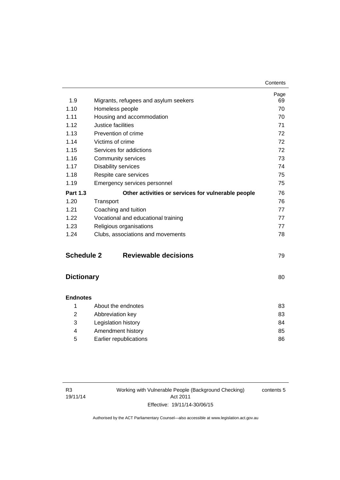| 1.9               | Migrants, refugees and asylum seekers              | Page<br>69 |
|-------------------|----------------------------------------------------|------------|
| 1.10              | Homeless people                                    | 70         |
| 1.11              | Housing and accommodation                          | 70         |
| 1.12              | Justice facilities                                 | 71         |
| 1.13              | Prevention of crime                                | 72         |
| 1.14              | Victims of crime                                   | 72         |
| 1.15              | Services for addictions                            | 72         |
| 1.16              | <b>Community services</b>                          | 73         |
| 1.17              | <b>Disability services</b>                         | 74         |
| 1.18              | Respite care services                              | 75         |
| 1.19              | Emergency services personnel                       | 75         |
| <b>Part 1.3</b>   | Other activities or services for vulnerable people | 76         |
| 1.20              | Transport                                          | 76         |
| 1.21              | Coaching and tuition                               | 77         |
| 1.22              | Vocational and educational training                | 77         |
| 1.23              | Religious organisations                            | 77         |
| 1.24              | Clubs, associations and movements                  | 78         |
| <b>Schedule 2</b> | <b>Reviewable decisions</b>                        | 79         |
| <b>Dictionary</b> |                                                    | 80         |
| <b>Endnotes</b>   |                                                    |            |
| 1                 | About the endnotes                                 | 83         |
| 2                 | Abbreviation key                                   | 83         |
| 3                 | Legislation history                                | 84         |

|   | Legislation history    | 84 |
|---|------------------------|----|
|   | Amendment history      | 85 |
| 5 | Earlier republications | 86 |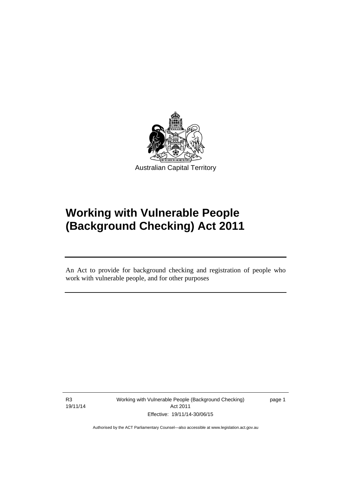

# **Working with Vulnerable People (Background Checking) Act 2011**

An Act to provide for background checking and registration of people who work with vulnerable people, and for other purposes

R3 19/11/14

Ī

Working with Vulnerable People (Background Checking) Act 2011 Effective: 19/11/14-30/06/15

page 1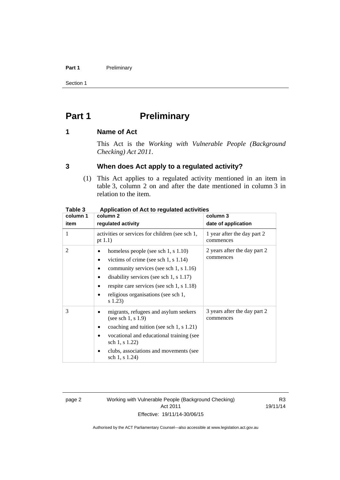### Part 1 **Preliminary**

Section 1

# <span id="page-9-0"></span>**Part 1** Preliminary

### <span id="page-9-1"></span>**1 Name of Act**

This Act is the *Working with Vulnerable People (Background Checking) Act 2011*.

### <span id="page-9-2"></span>**3 When does Act apply to a regulated activity?**

(1) This Act applies to a regulated activity mentioned in an item in table 3, column 2 on and after the date mentioned in column 3 in relation to the item.

| rapie s  | Application of Act to regulated activities                                                                                                                                                                                                                           |                                           |  |  |
|----------|----------------------------------------------------------------------------------------------------------------------------------------------------------------------------------------------------------------------------------------------------------------------|-------------------------------------------|--|--|
| column 1 | column 2                                                                                                                                                                                                                                                             | column 3                                  |  |  |
| item     | regulated activity                                                                                                                                                                                                                                                   | date of application                       |  |  |
| 1        | activities or services for children (see sch 1,<br>pt $1.1$ )                                                                                                                                                                                                        | 1 year after the day part 2<br>commences  |  |  |
| 2        | homeless people (see sch 1, s 1.10)<br>victims of crime (see sch $1, s$ 1.14)<br>community services (see sch 1, s 1.16)<br>disability services (see sch $1, s 1.17$ )<br>respite care services (see sch 1, s 1.18)<br>religious organisations (see sch 1,<br>s 1.23) | 2 years after the day part 2<br>commences |  |  |
| 3        | migrants, refugees and asylum seekers<br>(see sch $1, s 1.9$ )<br>coaching and tuition (see sch 1, s 1.21)<br>vocational and educational training (see<br>sch 1, s 1.22)<br>clubs, associations and movements (see<br>sch 1, s 1.24)                                 | 3 years after the day part 2<br>commences |  |  |

### **Table 3 Application of Act to regulated activities**

page 2 Working with Vulnerable People (Background Checking) Act 2011 Effective: 19/11/14-30/06/15

R3 19/11/14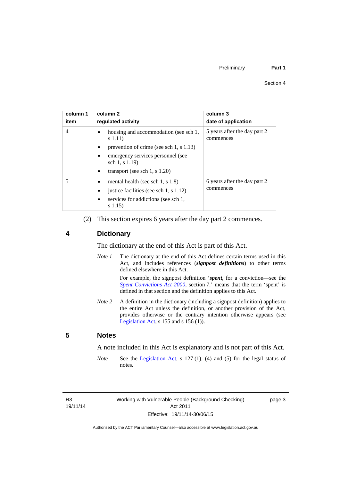| column 1<br>item | column 2<br>regulated activity                              | column 3<br>date of application           |
|------------------|-------------------------------------------------------------|-------------------------------------------|
| $\overline{4}$   | housing and accommodation (see sch 1,<br>s(1.11)            | 5 years after the day part 2<br>commences |
|                  | prevention of crime (see sch 1, s 1.13)<br>$\bullet$        |                                           |
|                  | emergency services personnel (see<br>sch $1, s 1.19$        |                                           |
|                  | transport (see sch 1, s $1.20$ )<br>٠                       |                                           |
|                  | mental health (see sch 1, s $1.8$ )                         | 6 years after the day part 2<br>commences |
|                  | justice facilities (see sch 1, s 1.12)                      |                                           |
|                  | services for addictions (see sch 1,<br>$\bullet$<br>s(1.15) |                                           |

(2) This section expires 6 years after the day part 2 commences.

### <span id="page-10-0"></span>**4 Dictionary**

The dictionary at the end of this Act is part of this Act.

*Note 1* The dictionary at the end of this Act defines certain terms used in this Act, and includes references (*signpost definitions*) to other terms defined elsewhere in this Act.

> For example, the signpost definition '*spent*, for a conviction—see the *[Spent Convictions Act 2000](http://www.legislation.act.gov.au/a/2000-48)*, section 7.<sup>7</sup> means that the term 'spent' is defined in that section and the definition applies to this Act.

*Note 2* A definition in the dictionary (including a signpost definition) applies to the entire Act unless the definition, or another provision of the Act, provides otherwise or the contrary intention otherwise appears (see [Legislation Act,](http://www.legislation.act.gov.au/a/2001-14)  $s$  155 and  $s$  156 (1)).

### <span id="page-10-1"></span>**5 Notes**

A note included in this Act is explanatory and is not part of this Act.

*Note* See the [Legislation Act,](http://www.legislation.act.gov.au/a/2001-14) s 127 (1), (4) and (5) for the legal status of notes.

R3 19/11/14 page 3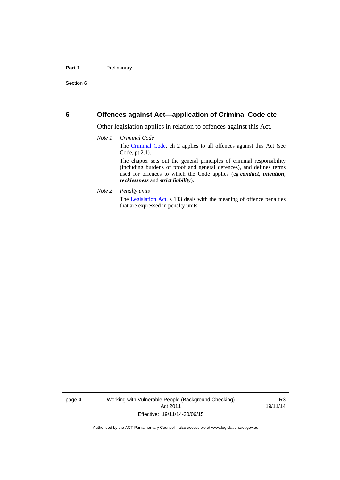### <span id="page-11-0"></span>**6 Offences against Act—application of Criminal Code etc**

Other legislation applies in relation to offences against this Act.

#### *Note 1 Criminal Code*

The [Criminal Code](http://www.legislation.act.gov.au/a/2002-51/default.asp), ch 2 applies to all offences against this Act (see Code, pt 2.1).

The chapter sets out the general principles of criminal responsibility (including burdens of proof and general defences), and defines terms used for offences to which the Code applies (eg *conduct*, *intention*, *recklessness* and *strict liability*).

#### *Note 2 Penalty units*

The [Legislation Act](http://www.legislation.act.gov.au/a/2001-14), s 133 deals with the meaning of offence penalties that are expressed in penalty units.

page 4 Working with Vulnerable People (Background Checking) Act 2011 Effective: 19/11/14-30/06/15

R3 19/11/14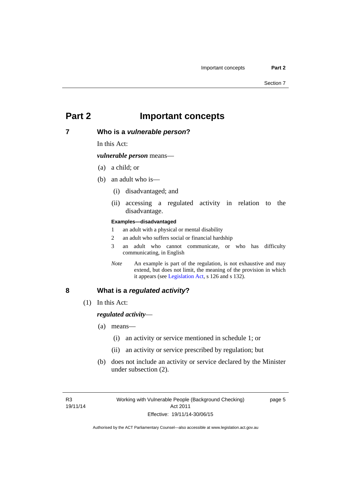## <span id="page-12-0"></span>**Part 2 Important concepts**

### <span id="page-12-1"></span>**7 Who is a** *vulnerable person***?**

In this Act:

*vulnerable person* means—

- (a) a child; or
- (b) an adult who is—
	- (i) disadvantaged; and
	- (ii) accessing a regulated activity in relation to the disadvantage.

#### **Examples—disadvantaged**

- 1 an adult with a physical or mental disability
- 2 an adult who suffers social or financial hardship
- 3 an adult who cannot communicate, or who has difficulty communicating, in English
- *Note* An example is part of the regulation, is not exhaustive and may extend, but does not limit, the meaning of the provision in which it appears (see [Legislation Act,](http://www.legislation.act.gov.au/a/2001-14) s 126 and s 132).

### <span id="page-12-2"></span>**8 What is a** *regulated activity***?**

(1) In this Act:

### *regulated activity*—

- (a) means—
	- (i) an activity or service mentioned in schedule 1; or
	- (ii) an activity or service prescribed by regulation; but
- (b) does not include an activity or service declared by the Minister under subsection (2).

page 5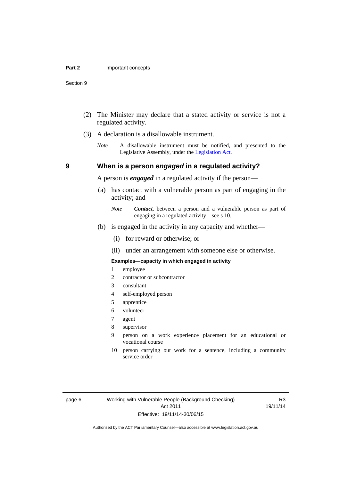- (2) The Minister may declare that a stated activity or service is not a regulated activity.
- (3) A declaration is a disallowable instrument.
	- *Note* A disallowable instrument must be notified, and presented to the Legislative Assembly, under the [Legislation Act.](http://www.legislation.act.gov.au/a/2001-14)

### **9 When is a person** *engaged* **in a regulated activity?**

A person is *engaged* in a regulated activity if the person—

- (a) has contact with a vulnerable person as part of engaging in the activity; and
	- *Note Contact*, between a person and a vulnerable person as part of engaging in a regulated activity—see s 10.
- (b) is engaged in the activity in any capacity and whether—
	- (i) for reward or otherwise; or
	- (ii) under an arrangement with someone else or otherwise.

#### **Examples—capacity in which engaged in activity**

- 1 employee
- 2 contractor or subcontractor
- 3 consultant
- 4 self-employed person
- 5 apprentice
- 6 volunteer
- 7 agent
- 8 supervisor
- 9 person on a work experience placement for an educational or vocational course
- 10 person carrying out work for a sentence, including a community service order

R3 19/11/14

<span id="page-13-0"></span>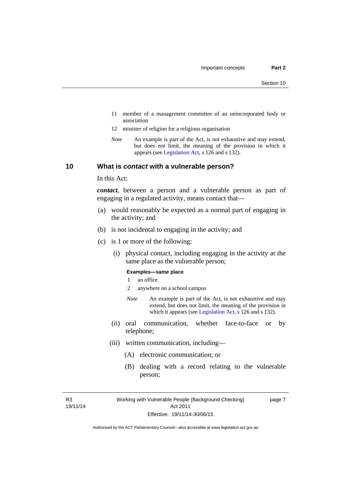- 11 member of a management committee of an unincorporated body or association
- 12 minister of religion for a religious organisation
- *Note* An example is part of the Act, is not exhaustive and may extend, but does not limit, the meaning of the provision in which it appears (see [Legislation Act,](http://www.legislation.act.gov.au/a/2001-14) s 126 and s 132).

### <span id="page-14-0"></span>**10 What is** *contact* **with a vulnerable person?**

In this Act:

*contact*, between a person and a vulnerable person as part of engaging in a regulated activity, means contact that—

- (a) would reasonably be expected as a normal part of engaging in the activity; and
- (b) is not incidental to engaging in the activity; and
- (c) is 1 or more of the following:
	- (i) physical contact, including engaging in the activity at the same place as the vulnerable person;

#### **Examples—same place**

- 1 an office
- 2 anywhere on a school campus
- *Note* An example is part of the Act, is not exhaustive and may extend, but does not limit, the meaning of the provision in which it appears (see [Legislation Act,](http://www.legislation.act.gov.au/a/2001-14) s 126 and s 132).
- (ii) oral communication, whether face-to-face or by telephone;
- (iii) written communication, including—
	- (A) electronic communication; or
	- (B) dealing with a record relating to the vulnerable person;

R3 19/11/14 page 7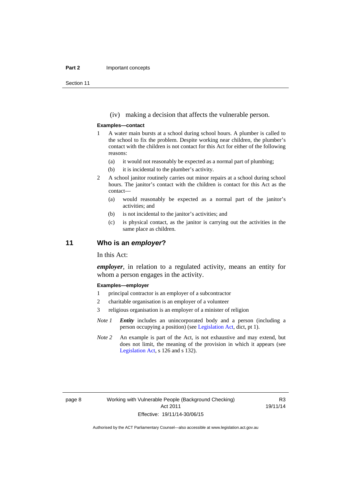#### **Part 2 Important concepts**

Section 11

(iv) making a decision that affects the vulnerable person.

#### **Examples—contact**

- 1 A water main bursts at a school during school hours. A plumber is called to the school to fix the problem. Despite working near children, the plumber's contact with the children is not contact for this Act for either of the following reasons:
	- (a) it would not reasonably be expected as a normal part of plumbing;
	- (b) it is incidental to the plumber's activity.
- 2 A school janitor routinely carries out minor repairs at a school during school hours. The janitor's contact with the children is contact for this Act as the contact—
	- (a) would reasonably be expected as a normal part of the janitor's activities; and
	- (b) is not incidental to the janitor's activities; and
	- (c) is physical contact, as the janitor is carrying out the activities in the same place as children.

### <span id="page-15-0"></span>**11 Who is an** *employer***?**

In this Act:

*employer*, in relation to a regulated activity, means an entity for whom a person engages in the activity.

#### **Examples—employer**

- 1 principal contractor is an employer of a subcontractor
- 2 charitable organisation is an employer of a volunteer
- 3 religious organisation is an employer of a minister of religion
- *Note 1 Entity* includes an unincorporated body and a person (including a person occupying a position) (see [Legislation Act,](http://www.legislation.act.gov.au/a/2001-14) dict, pt 1).
- *Note* 2 An example is part of the Act, is not exhaustive and may extend, but does not limit, the meaning of the provision in which it appears (see [Legislation Act,](http://www.legislation.act.gov.au/a/2001-14) s 126 and s 132).

R3 19/11/14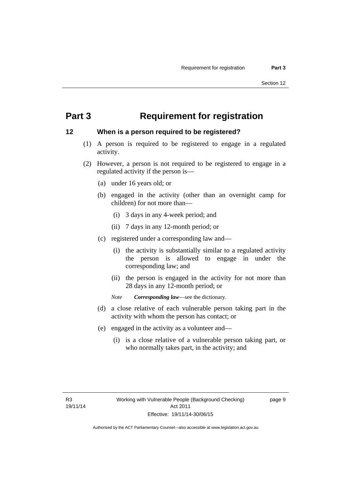# <span id="page-16-0"></span>**Part 3 Requirement for registration**

### <span id="page-16-1"></span>**12 When is a person required to be registered?**

- (1) A person is required to be registered to engage in a regulated activity.
- (2) However, a person is not required to be registered to engage in a regulated activity if the person is—
	- (a) under 16 years old; or
	- (b) engaged in the activity (other than an overnight camp for children) for not more than—
		- (i) 3 days in any 4-week period; and
		- (ii) 7 days in any 12-month period; or
	- (c) registered under a corresponding law and—
		- (i) the activity is substantially similar to a regulated activity the person is allowed to engage in under the corresponding law; and
		- (ii) the person is engaged in the activity for not more than 28 days in any 12-month period; or
		- *Note Corresponding law*—see the dictionary.
	- (d) a close relative of each vulnerable person taking part in the activity with whom the person has contact; or
	- (e) engaged in the activity as a volunteer and—
		- (i) is a close relative of a vulnerable person taking part, or who normally takes part, in the activity; and

page 9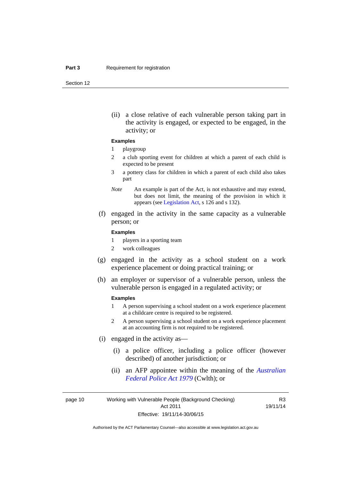Section 12

(ii) a close relative of each vulnerable person taking part in the activity is engaged, or expected to be engaged, in the activity; or

#### **Examples**

#### 1 playgroup

- 2 a club sporting event for children at which a parent of each child is expected to be present
- 3 a pottery class for children in which a parent of each child also takes part
- *Note* An example is part of the Act, is not exhaustive and may extend, but does not limit, the meaning of the provision in which it appears (see [Legislation Act,](http://www.legislation.act.gov.au/a/2001-14) s 126 and s 132).
- (f) engaged in the activity in the same capacity as a vulnerable person; or

#### **Examples**

- 1 players in a sporting team
- 2 work colleagues
- (g) engaged in the activity as a school student on a work experience placement or doing practical training; or
- (h) an employer or supervisor of a vulnerable person, unless the vulnerable person is engaged in a regulated activity; or

#### **Examples**

- 1 A person supervising a school student on a work experience placement at a childcare centre is required to be registered.
- 2 A person supervising a school student on a work experience placement at an accounting firm is not required to be registered.
- (i) engaged in the activity as—
	- (i) a police officer, including a police officer (however described) of another jurisdiction; or
	- (ii) an AFP appointee within the meaning of the *[Australian](http://www.comlaw.gov.au/Series/C2004A02068)  [Federal Police Act 1979](http://www.comlaw.gov.au/Series/C2004A02068)* (Cwlth); or

page 10 Working with Vulnerable People (Background Checking) Act 2011 Effective: 19/11/14-30/06/15

R3 19/11/14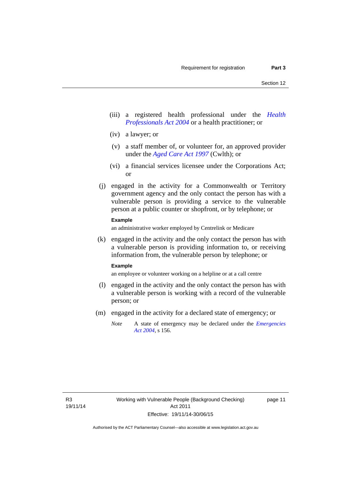- (iii) a registered health professional under the *[Health](http://www.legislation.act.gov.au/a/2004-38)  [Professionals Act 2004](http://www.legislation.act.gov.au/a/2004-38)* or a health practitioner; or
- (iv) a lawyer; or
- (v) a staff member of, or volunteer for, an approved provider under the *[Aged Care Act 1997](http://www.comlaw.gov.au/Series/C2004A05206)* (Cwlth); or
- (vi) a financial services licensee under the Corporations Act; or
- (j) engaged in the activity for a Commonwealth or Territory government agency and the only contact the person has with a vulnerable person is providing a service to the vulnerable person at a public counter or shopfront, or by telephone; or

### **Example**

an administrative worker employed by Centrelink or Medicare

 (k) engaged in the activity and the only contact the person has with a vulnerable person is providing information to, or receiving information from, the vulnerable person by telephone; or

#### **Example**

an employee or volunteer working on a helpline or at a call centre

- (l) engaged in the activity and the only contact the person has with a vulnerable person is working with a record of the vulnerable person; or
- (m) engaged in the activity for a declared state of emergency; or
	- *Note* A state of emergency may be declared under the *[Emergencies](http://www.legislation.act.gov.au/a/2004-28)  [Act 2004](http://www.legislation.act.gov.au/a/2004-28)*, s 156.

page 11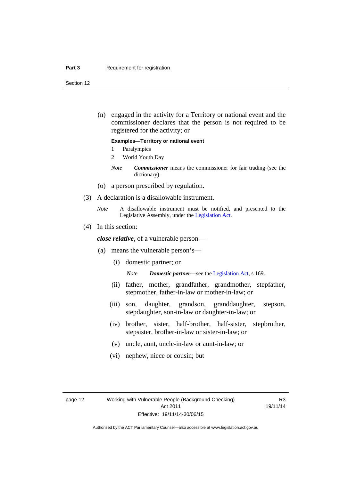#### **Part 3 Requirement for registration**

Section 12

 (n) engaged in the activity for a Territory or national event and the commissioner declares that the person is not required to be registered for the activity; or

#### **Examples—Territory or national event**

- 1 Paralympics
- 2 World Youth Day
- *Note Commissioner* means the commissioner for fair trading (see the dictionary).
- (o) a person prescribed by regulation.
- (3) A declaration is a disallowable instrument.
	- *Note* A disallowable instrument must be notified, and presented to the Legislative Assembly, under the [Legislation Act.](http://www.legislation.act.gov.au/a/2001-14)
- (4) In this section:

*close relative*, of a vulnerable person—

- (a) means the vulnerable person's—
	- (i) domestic partner; or

*Note Domestic partner—*see the [Legislation Act](http://www.legislation.act.gov.au/a/2001-14), s 169.

- (ii) father, mother, grandfather, grandmother, stepfather, stepmother, father-in-law or mother-in-law; or
- (iii) son, daughter, grandson, granddaughter, stepson, stepdaughter, son-in-law or daughter-in-law; or
- (iv) brother, sister, half-brother, half-sister, stepbrother, stepsister, brother-in-law or sister-in-law; or
- (v) uncle, aunt, uncle-in-law or aunt-in-law; or
- (vi) nephew, niece or cousin; but

R3 19/11/14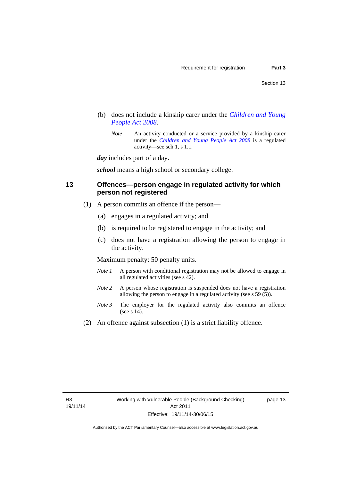- (b) does not include a kinship carer under the *[Children and Young](http://www.legislation.act.gov.au/a/2008-19)  [People Act 2008](http://www.legislation.act.gov.au/a/2008-19)*.
	- *Note* An activity conducted or a service provided by a kinship carer under the *[Children and Young People Act 2008](http://www.legislation.act.gov.au/a/2008-19)* is a regulated activity—see sch 1, s 1.1.

*day* includes part of a day.

*school* means a high school or secondary college.

### <span id="page-20-0"></span>**13 Offences—person engage in regulated activity for which person not registered**

- (1) A person commits an offence if the person—
	- (a) engages in a regulated activity; and
	- (b) is required to be registered to engage in the activity; and
	- (c) does not have a registration allowing the person to engage in the activity.

Maximum penalty: 50 penalty units.

- *Note 1* A person with conditional registration may not be allowed to engage in all regulated activities (see s 42).
- *Note* 2 A person whose registration is suspended does not have a registration allowing the person to engage in a regulated activity (see s 59 (5)).
- *Note 3* The employer for the regulated activity also commits an offence (see s 14).
- (2) An offence against subsection (1) is a strict liability offence.

page 13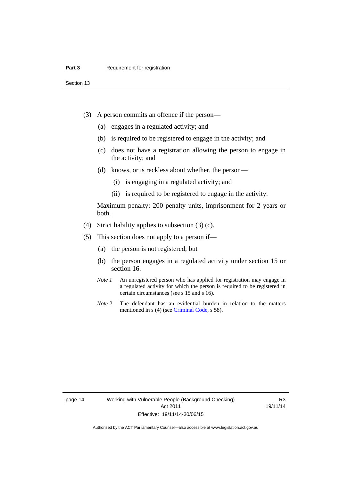Section 13

- (3) A person commits an offence if the person—
	- (a) engages in a regulated activity; and
	- (b) is required to be registered to engage in the activity; and
	- (c) does not have a registration allowing the person to engage in the activity; and
	- (d) knows, or is reckless about whether, the person—
		- (i) is engaging in a regulated activity; and
		- (ii) is required to be registered to engage in the activity.

Maximum penalty: 200 penalty units, imprisonment for 2 years or both.

- (4) Strict liability applies to subsection (3) (c).
- (5) This section does not apply to a person if—
	- (a) the person is not registered; but
	- (b) the person engages in a regulated activity under section 15 or section 16.
	- *Note 1* An unregistered person who has applied for registration may engage in a regulated activity for which the person is required to be registered in certain circumstances (see s 15 and s 16).
	- *Note* 2 The defendant has an evidential burden in relation to the matters mentioned in s (4) (see [Criminal Code](http://www.legislation.act.gov.au/a/2002-51/default.asp), s 58).

page 14 Working with Vulnerable People (Background Checking) Act 2011 Effective: 19/11/14-30/06/15

R3 19/11/14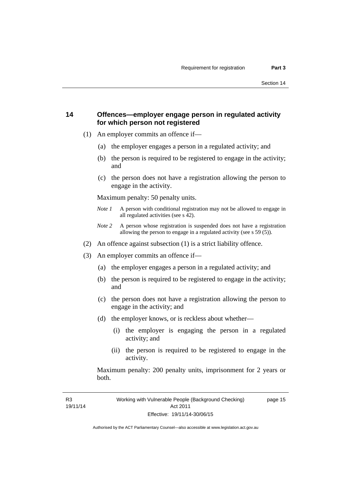### <span id="page-22-0"></span>**14 Offences—employer engage person in regulated activity for which person not registered**

- (1) An employer commits an offence if—
	- (a) the employer engages a person in a regulated activity; and
	- (b) the person is required to be registered to engage in the activity; and
	- (c) the person does not have a registration allowing the person to engage in the activity.

Maximum penalty: 50 penalty units.

- *Note 1* A person with conditional registration may not be allowed to engage in all regulated activities (see s 42).
- *Note 2* A person whose registration is suspended does not have a registration allowing the person to engage in a regulated activity (see s 59 (5)).
- (2) An offence against subsection (1) is a strict liability offence.
- (3) An employer commits an offence if—
	- (a) the employer engages a person in a regulated activity; and
	- (b) the person is required to be registered to engage in the activity; and
	- (c) the person does not have a registration allowing the person to engage in the activity; and
	- (d) the employer knows, or is reckless about whether—
		- (i) the employer is engaging the person in a regulated activity; and
		- (ii) the person is required to be registered to engage in the activity.

Maximum penalty: 200 penalty units, imprisonment for 2 years or both.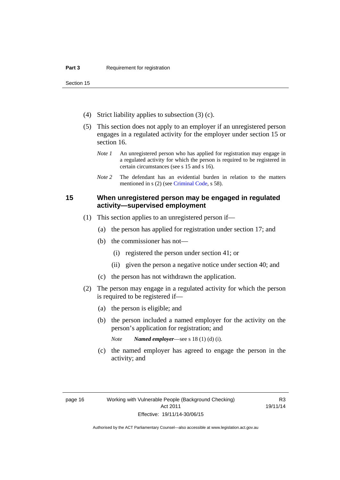Section 15

- (4) Strict liability applies to subsection (3) (c).
- (5) This section does not apply to an employer if an unregistered person engages in a regulated activity for the employer under section 15 or section 16.
	- *Note 1* An unregistered person who has applied for registration may engage in a regulated activity for which the person is required to be registered in certain circumstances (see s 15 and s 16).
	- *Note* 2 The defendant has an evidential burden in relation to the matters mentioned in s (2) (see [Criminal Code](http://www.legislation.act.gov.au/a/2002-51/default.asp), s 58).

### <span id="page-23-0"></span>**15 When unregistered person may be engaged in regulated activity—supervised employment**

- (1) This section applies to an unregistered person if—
	- (a) the person has applied for registration under section 17; and
	- (b) the commissioner has not—
		- (i) registered the person under section 41; or
		- (ii) given the person a negative notice under section 40; and
	- (c) the person has not withdrawn the application.
- (2) The person may engage in a regulated activity for which the person is required to be registered if—
	- (a) the person is eligible; and
	- (b) the person included a named employer for the activity on the person's application for registration; and
		- *Note Named employer*—see s 18 (1) (d) (i).
	- (c) the named employer has agreed to engage the person in the activity; and

R3 19/11/14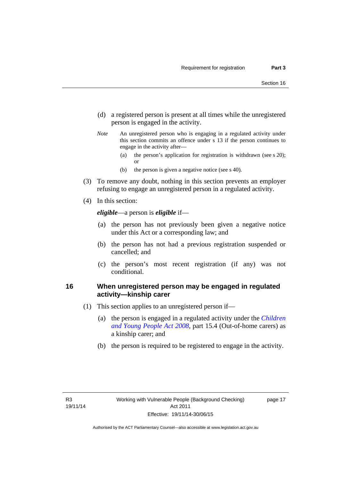- (d) a registered person is present at all times while the unregistered person is engaged in the activity.
- *Note* An unregistered person who is engaging in a regulated activity under this section commits an offence under s 13 if the person continues to engage in the activity after—
	- (a) the person's application for registration is withdrawn (see s 20); or
	- (b) the person is given a negative notice (see s 40).
- (3) To remove any doubt, nothing in this section prevents an employer refusing to engage an unregistered person in a regulated activity.
- (4) In this section:

*eligible*—a person is *eligible* if—

- (a) the person has not previously been given a negative notice under this Act or a corresponding law; and
- (b) the person has not had a previous registration suspended or cancelled; and
- (c) the person's most recent registration (if any) was not conditional.

### <span id="page-24-0"></span>**16 When unregistered person may be engaged in regulated activity—kinship carer**

- (1) This section applies to an unregistered person if—
	- (a) the person is engaged in a regulated activity under the *[Children](http://www.legislation.act.gov.au/a/2008-19)  [and Young People Act 2008](http://www.legislation.act.gov.au/a/2008-19)*, part 15.4 (Out-of-home carers) as a kinship carer; and
	- (b) the person is required to be registered to engage in the activity.

page 17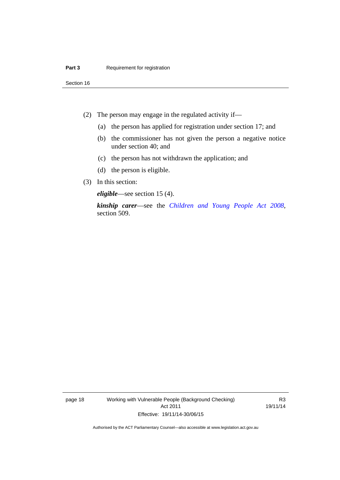Section 16

- (2) The person may engage in the regulated activity if—
	- (a) the person has applied for registration under section 17; and
	- (b) the commissioner has not given the person a negative notice under section 40; and
	- (c) the person has not withdrawn the application; and
	- (d) the person is eligible.
- (3) In this section:

*eligible*—see section 15 (4).

*kinship carer*—see the *[Children and Young People Act 2008](http://www.legislation.act.gov.au/a/2008-19)*, section 509.

page 18 Working with Vulnerable People (Background Checking) Act 2011 Effective: 19/11/14-30/06/15

R3 19/11/14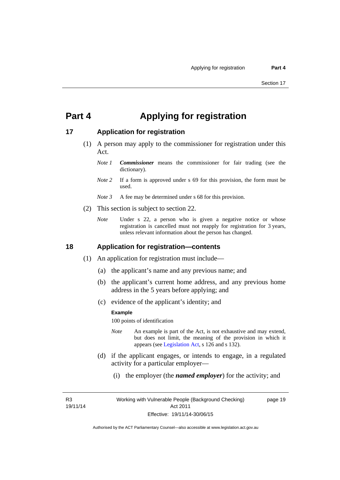## <span id="page-26-0"></span>**Part 4 Applying for registration**

### <span id="page-26-1"></span>**17 Application for registration**

- (1) A person may apply to the commissioner for registration under this Act.
	- *Note 1 Commissioner* means the commissioner for fair trading (see the dictionary).
	- *Note* 2 If a form is approved under s 69 for this provision, the form must be used.
	- *Note 3* A fee may be determined under s 68 for this provision.
- (2) This section is subject to section 22.
	- *Note* Under s 22, a person who is given a negative notice or whose registration is cancelled must not reapply for registration for 3 years, unless relevant information about the person has changed.

### <span id="page-26-2"></span>**18 Application for registration—contents**

- (1) An application for registration must include—
	- (a) the applicant's name and any previous name; and
	- (b) the applicant's current home address, and any previous home address in the 5 years before applying; and
	- (c) evidence of the applicant's identity; and

#### **Example**

100 points of identification

- *Note* An example is part of the Act, is not exhaustive and may extend, but does not limit, the meaning of the provision in which it appears (see [Legislation Act,](http://www.legislation.act.gov.au/a/2001-14) s 126 and s 132).
- (d) if the applicant engages, or intends to engage, in a regulated activity for a particular employer—
	- (i) the employer (the *named employer*) for the activity; and

R3 19/11/14 page 19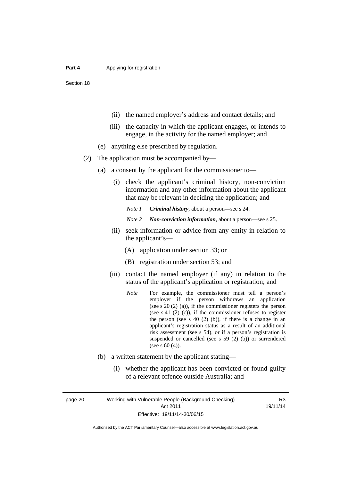Section 18

- (ii) the named employer's address and contact details; and
- (iii) the capacity in which the applicant engages, or intends to engage, in the activity for the named employer; and
- (e) anything else prescribed by regulation.
- (2) The application must be accompanied by—
	- (a) a consent by the applicant for the commissioner to—
		- (i) check the applicant's criminal history, non-conviction information and any other information about the applicant that may be relevant in deciding the application; and

*Note 1 Criminal history*, about a person*—*see s 24.

- *Note 2 Non-conviction information*, about a person—see s 25.
- (ii) seek information or advice from any entity in relation to the applicant's—
	- (A) application under section 33; or
	- (B) registration under section 53; and
- (iii) contact the named employer (if any) in relation to the status of the applicant's application or registration; and
	- *Note* For example, the commissioner must tell a person's employer if the person withdraws an application (see s 20 (2) (a)), if the commissioner registers the person (see s 41 (2) (c)), if the commissioner refuses to register the person (see s  $40$  (2) (b)), if there is a change in an applicant's registration status as a result of an additional risk assessment (see s 54), or if a person's registration is suspended or cancelled (see s 59 (2) (b)) or surrendered (see s 60 (4)).
- (b) a written statement by the applicant stating—
	- (i) whether the applicant has been convicted or found guilty of a relevant offence outside Australia; and

page 20 Working with Vulnerable People (Background Checking) Act 2011 Effective: 19/11/14-30/06/15

R3 19/11/14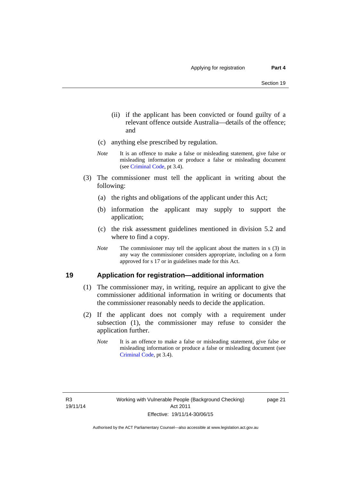- (ii) if the applicant has been convicted or found guilty of a relevant offence outside Australia—details of the offence; and
- (c) anything else prescribed by regulation.
- *Note* It is an offence to make a false or misleading statement, give false or misleading information or produce a false or misleading document (see [Criminal Code,](http://www.legislation.act.gov.au/a/2002-51/default.asp) pt 3.4).
- (3) The commissioner must tell the applicant in writing about the following:
	- (a) the rights and obligations of the applicant under this Act;
	- (b) information the applicant may supply to support the application;
	- (c) the risk assessment guidelines mentioned in division 5.2 and where to find a copy.
	- *Note* The commissioner may tell the applicant about the matters in s (3) in any way the commissioner considers appropriate, including on a form approved for s 17 or in guidelines made for this Act.

### <span id="page-28-0"></span>**19 Application for registration—additional information**

- (1) The commissioner may, in writing, require an applicant to give the commissioner additional information in writing or documents that the commissioner reasonably needs to decide the application.
- (2) If the applicant does not comply with a requirement under subsection (1), the commissioner may refuse to consider the application further.
	- *Note* It is an offence to make a false or misleading statement, give false or misleading information or produce a false or misleading document (see [Criminal Code](http://www.legislation.act.gov.au/a/2002-51/default.asp), pt 3.4).

page 21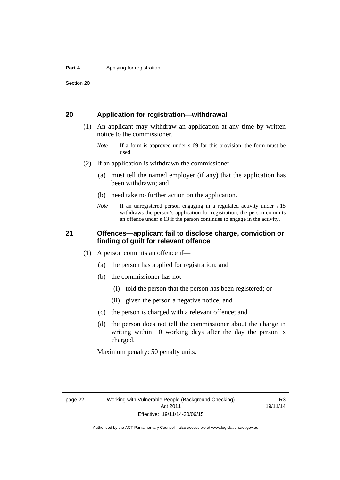Section 20

### <span id="page-29-0"></span>**20 Application for registration—withdrawal**

- (1) An applicant may withdraw an application at any time by written notice to the commissioner.
	- *Note* If a form is approved under s 69 for this provision, the form must be used.
- (2) If an application is withdrawn the commissioner—
	- (a) must tell the named employer (if any) that the application has been withdrawn; and
	- (b) need take no further action on the application.
	- *Note* If an unregistered person engaging in a regulated activity under s 15 withdraws the person's application for registration, the person commits an offence under s 13 if the person continues to engage in the activity.

### <span id="page-29-1"></span>**21 Offences—applicant fail to disclose charge, conviction or finding of guilt for relevant offence**

- (1) A person commits an offence if—
	- (a) the person has applied for registration; and
	- (b) the commissioner has not—
		- (i) told the person that the person has been registered; or
		- (ii) given the person a negative notice; and
	- (c) the person is charged with a relevant offence; and
	- (d) the person does not tell the commissioner about the charge in writing within 10 working days after the day the person is charged.

Maximum penalty: 50 penalty units.

R3 19/11/14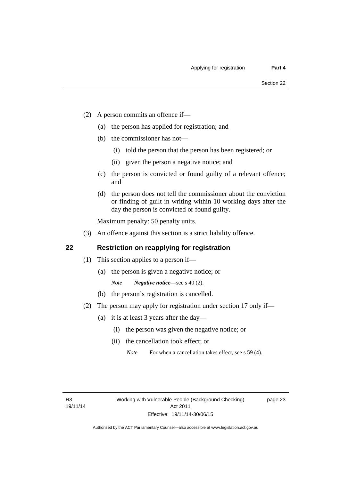- (2) A person commits an offence if—
	- (a) the person has applied for registration; and
	- (b) the commissioner has not—
		- (i) told the person that the person has been registered; or
		- (ii) given the person a negative notice; and
	- (c) the person is convicted or found guilty of a relevant offence; and
	- (d) the person does not tell the commissioner about the conviction or finding of guilt in writing within 10 working days after the day the person is convicted or found guilty.

Maximum penalty: 50 penalty units.

(3) An offence against this section is a strict liability offence.

### <span id="page-30-0"></span>**22 Restriction on reapplying for registration**

- (1) This section applies to a person if—
	- (a) the person is given a negative notice; or
		- *Note Negative notice*—see s 40 (2).
	- (b) the person's registration is cancelled.
- (2) The person may apply for registration under section 17 only if—
	- (a) it is at least 3 years after the day—
		- (i) the person was given the negative notice; or
		- (ii) the cancellation took effect; or

*Note* For when a cancellation takes effect, see s 59 (4).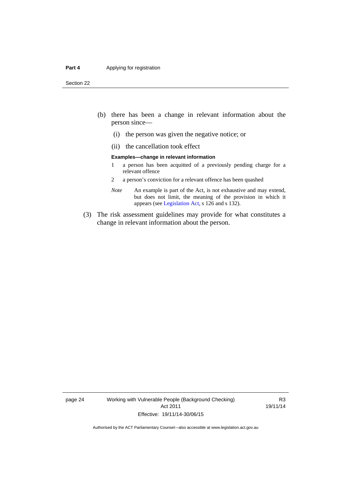#### **Part 4 Applying for registration**

Section 22

- (b) there has been a change in relevant information about the person since—
	- (i) the person was given the negative notice; or
	- (ii) the cancellation took effect

#### **Examples—change in relevant information**

- 1 a person has been acquitted of a previously pending charge for a relevant offence
- 2 a person's conviction for a relevant offence has been quashed
- *Note* An example is part of the Act, is not exhaustive and may extend, but does not limit, the meaning of the provision in which it appears (see [Legislation Act,](http://www.legislation.act.gov.au/a/2001-14) s 126 and s 132).
- (3) The risk assessment guidelines may provide for what constitutes a change in relevant information about the person.

page 24 Working with Vulnerable People (Background Checking) Act 2011 Effective: 19/11/14-30/06/15

R3 19/11/14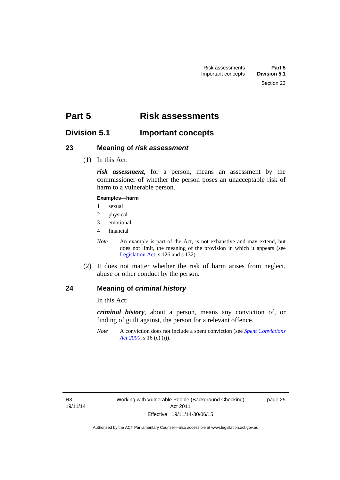# <span id="page-32-0"></span>**Part 5 Risk assessments**

### <span id="page-32-1"></span>**Division 5.1 Important concepts**

### <span id="page-32-2"></span>**23 Meaning of** *risk assessment*

(1) In this Act:

*risk assessment*, for a person, means an assessment by the commissioner of whether the person poses an unacceptable risk of harm to a vulnerable person.

### **Examples—harm**

- 1 sexual
- 2 physical
- 3 emotional
- 4 financial

*Note* An example is part of the Act, is not exhaustive and may extend, but does not limit, the meaning of the provision in which it appears (see [Legislation Act,](http://www.legislation.act.gov.au/a/2001-14) s 126 and s 132).

 (2) It does not matter whether the risk of harm arises from neglect, abuse or other conduct by the person.

### <span id="page-32-3"></span>**24 Meaning of** *criminal history*

In this Act:

*criminal history*, about a person, means any conviction of, or finding of guilt against, the person for a relevant offence.

*Note* A conviction does not include a spent conviction (see *[Spent Convictions](http://www.legislation.act.gov.au/a/2000-48)  [Act 2000](http://www.legislation.act.gov.au/a/2000-48)*, s 16 (c) (i)).

page 25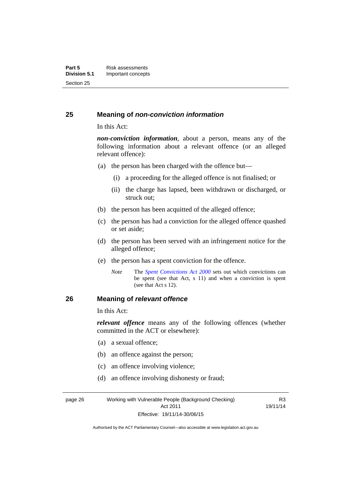### <span id="page-33-0"></span>**25 Meaning of** *non-conviction information*

In this Act:

*non-conviction information*, about a person, means any of the following information about a relevant offence (or an alleged relevant offence):

- (a) the person has been charged with the offence but—
	- (i) a proceeding for the alleged offence is not finalised; or
	- (ii) the charge has lapsed, been withdrawn or discharged, or struck out;
- (b) the person has been acquitted of the alleged offence;
- (c) the person has had a conviction for the alleged offence quashed or set aside;
- (d) the person has been served with an infringement notice for the alleged offence;
- (e) the person has a spent conviction for the offence.
	- *Note* The *[Spent Convictions Act 2000](http://www.legislation.act.gov.au/a/2000-48)* sets out which convictions can be spent (see that Act, s 11) and when a conviction is spent (see that Act s 12).

### <span id="page-33-1"></span>**26 Meaning of** *relevant offence*

In this Act:

*relevant offence* means any of the following offences (whether committed in the ACT or elsewhere):

- (a) a sexual offence;
- (b) an offence against the person;
- (c) an offence involving violence;
- (d) an offence involving dishonesty or fraud;

page 26 Working with Vulnerable People (Background Checking) Act 2011 Effective: 19/11/14-30/06/15

R3 19/11/14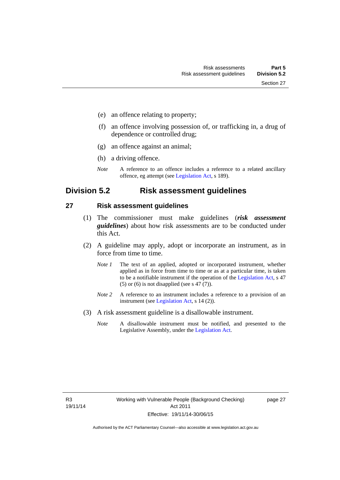- (e) an offence relating to property;
- (f) an offence involving possession of, or trafficking in, a drug of dependence or controlled drug;
- (g) an offence against an animal;
- (h) a driving offence.
- *Note* A reference to an offence includes a reference to a related ancillary offence, eg attempt (see [Legislation Act,](http://www.legislation.act.gov.au/a/2001-14) s 189).

### <span id="page-34-0"></span>**Division 5.2 Risk assessment guidelines**

### <span id="page-34-1"></span>**27 Risk assessment guidelines**

- (1) The commissioner must make guidelines (*risk assessment guidelines*) about how risk assessments are to be conducted under this Act.
- (2) A guideline may apply, adopt or incorporate an instrument, as in force from time to time.
	- *Note 1* The text of an applied, adopted or incorporated instrument, whether applied as in force from time to time or as at a particular time, is taken to be a notifiable instrument if the operation of the [Legislation Act,](http://www.legislation.act.gov.au/a/2001-14) s 47 (5) or (6) is not disapplied (see s 47 (7)).
	- *Note 2* A reference to an instrument includes a reference to a provision of an instrument (see [Legislation Act,](http://www.legislation.act.gov.au/a/2001-14) s 14 (2)).
- (3) A risk assessment guideline is a disallowable instrument.
	- *Note* A disallowable instrument must be notified, and presented to the Legislative Assembly, under the [Legislation Act.](http://www.legislation.act.gov.au/a/2001-14)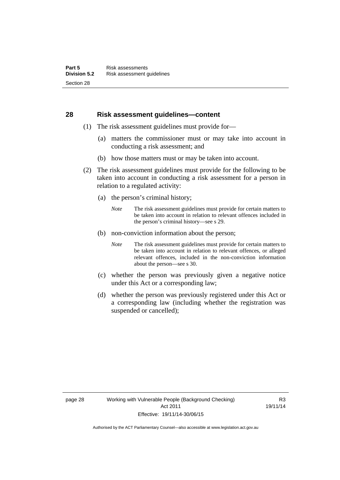### <span id="page-35-0"></span>**28 Risk assessment guidelines—content**

- (1) The risk assessment guidelines must provide for—
	- (a) matters the commissioner must or may take into account in conducting a risk assessment; and
	- (b) how those matters must or may be taken into account.
- (2) The risk assessment guidelines must provide for the following to be taken into account in conducting a risk assessment for a person in relation to a regulated activity:
	- (a) the person's criminal history;
		- *Note* The risk assessment guidelines must provide for certain matters to be taken into account in relation to relevant offences included in the person's criminal history—see s 29.
	- (b) non-conviction information about the person;
		- *Note* The risk assessment guidelines must provide for certain matters to be taken into account in relation to relevant offences, or alleged relevant offences, included in the non-conviction information about the person—see s 30.
	- (c) whether the person was previously given a negative notice under this Act or a corresponding law;
	- (d) whether the person was previously registered under this Act or a corresponding law (including whether the registration was suspended or cancelled);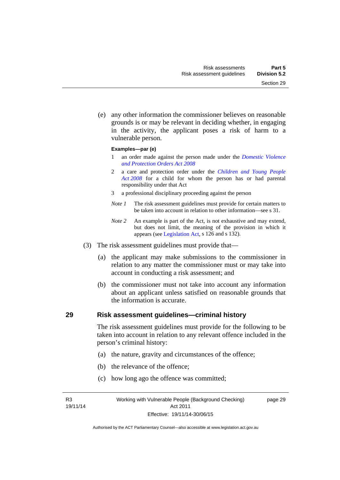Section 29

 (e) any other information the commissioner believes on reasonable grounds is or may be relevant in deciding whether, in engaging in the activity, the applicant poses a risk of harm to a

#### **Examples—par (e)**

vulnerable person.

- 1 an order made against the person made under the *[Domestic Violence](http://www.legislation.act.gov.au/a/2008-46)  [and Protection Orders Act 2008](http://www.legislation.act.gov.au/a/2008-46)*
- 2 a care and protection order under the *[Children and Young People](http://www.legislation.act.gov.au/a/2008-19)  [Act 2008](http://www.legislation.act.gov.au/a/2008-19)* for a child for whom the person has or had parental responsibility under that Act
- 3 a professional disciplinary proceeding against the person
- *Note 1* The risk assessment guidelines must provide for certain matters to be taken into account in relation to other information—see s 31.
- *Note 2* An example is part of the Act, is not exhaustive and may extend, but does not limit, the meaning of the provision in which it appears (see [Legislation Act,](http://www.legislation.act.gov.au/a/2001-14) s 126 and s 132).
- (3) The risk assessment guidelines must provide that—
	- (a) the applicant may make submissions to the commissioner in relation to any matter the commissioner must or may take into account in conducting a risk assessment; and
	- (b) the commissioner must not take into account any information about an applicant unless satisfied on reasonable grounds that the information is accurate.

#### **29 Risk assessment guidelines—criminal history**

The risk assessment guidelines must provide for the following to be taken into account in relation to any relevant offence included in the person's criminal history:

- (a) the nature, gravity and circumstances of the offence;
- (b) the relevance of the offence;
- (c) how long ago the offence was committed;

R3 19/11/14 page 29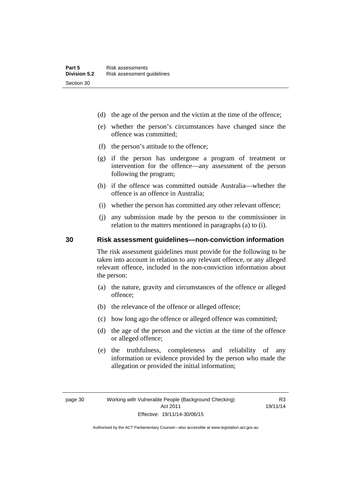- (d) the age of the person and the victim at the time of the offence;
- (e) whether the person's circumstances have changed since the offence was committed;
- (f) the person's attitude to the offence;
- (g) if the person has undergone a program of treatment or intervention for the offence—any assessment of the person following the program;
- (h) if the offence was committed outside Australia—whether the offence is an offence in Australia;
- (i) whether the person has committed any other relevant offence;
- (j) any submission made by the person to the commissioner in relation to the matters mentioned in paragraphs (a) to (i).

#### **30 Risk assessment guidelines—non-conviction information**

The risk assessment guidelines must provide for the following to be taken into account in relation to any relevant offence, or any alleged relevant offence, included in the non-conviction information about the person:

- (a) the nature, gravity and circumstances of the offence or alleged offence;
- (b) the relevance of the offence or alleged offence;
- (c) how long ago the offence or alleged offence was committed;
- (d) the age of the person and the victim at the time of the offence or alleged offence;
- (e) the truthfulness, completeness and reliability of any information or evidence provided by the person who made the allegation or provided the initial information;

R3 19/11/14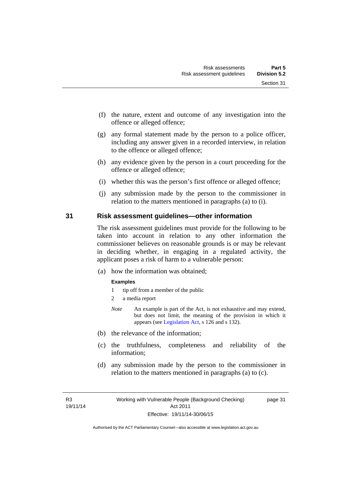- (f) the nature, extent and outcome of any investigation into the offence or alleged offence;
- (g) any formal statement made by the person to a police officer, including any answer given in a recorded interview, in relation to the offence or alleged offence;
- (h) any evidence given by the person in a court proceeding for the offence or alleged offence;
- (i) whether this was the person's first offence or alleged offence;
- (j) any submission made by the person to the commissioner in relation to the matters mentioned in paragraphs (a) to (i).

#### **31 Risk assessment guidelines—other information**

The risk assessment guidelines must provide for the following to be taken into account in relation to any other information the commissioner believes on reasonable grounds is or may be relevant in deciding whether, in engaging in a regulated activity, the applicant poses a risk of harm to a vulnerable person:

(a) how the information was obtained;

#### **Examples**

- 1 tip off from a member of the public
- 2 a media report
- *Note* An example is part of the Act, is not exhaustive and may extend, but does not limit, the meaning of the provision in which it appears (see [Legislation Act,](http://www.legislation.act.gov.au/a/2001-14) s 126 and s 132).
- (b) the relevance of the information;
- (c) the truthfulness, completeness and reliability of the information;
- (d) any submission made by the person to the commissioner in relation to the matters mentioned in paragraphs (a) to (c).

R3 19/11/14 page 31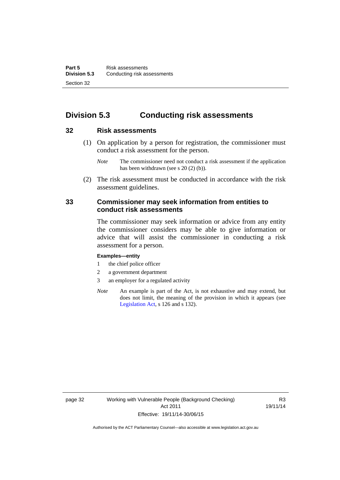# **Division 5.3 Conducting risk assessments**

#### **32 Risk assessments**

 (1) On application by a person for registration, the commissioner must conduct a risk assessment for the person.

 (2) The risk assessment must be conducted in accordance with the risk assessment guidelines.

#### **33 Commissioner may seek information from entities to conduct risk assessments**

The commissioner may seek information or advice from any entity the commissioner considers may be able to give information or advice that will assist the commissioner in conducting a risk assessment for a person.

#### **Examples—entity**

- 1 the chief police officer
- 2 a government department
- 3 an employer for a regulated activity
- *Note* An example is part of the Act, is not exhaustive and may extend, but does not limit, the meaning of the provision in which it appears (see [Legislation Act,](http://www.legislation.act.gov.au/a/2001-14) s 126 and s 132).

*Note* The commissioner need not conduct a risk assessment if the application has been withdrawn (see s 20 (2) (b)).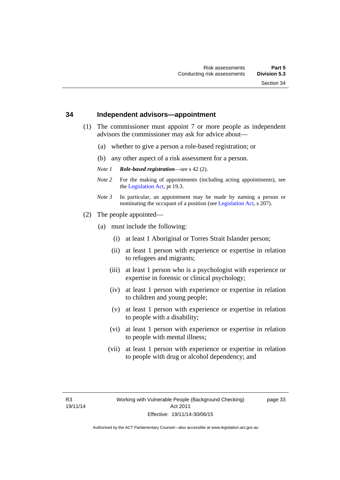#### **34 Independent advisors—appointment**

- (1) The commissioner must appoint 7 or more people as independent advisors the commissioner may ask for advice about—
	- (a) whether to give a person a role-based registration; or
	- (b) any other aspect of a risk assessment for a person.
	- *Note 1 Role-based registration*—see s 42 (2).
	- *Note 2* For the making of appointments (including acting appointments), see the [Legislation Act,](http://www.legislation.act.gov.au/a/2001-14) pt 19.3.
	- *Note 3* In particular, an appointment may be made by naming a person or nominating the occupant of a position (see [Legislation Act](http://www.legislation.act.gov.au/a/2001-14), s 207).
- (2) The people appointed—
	- (a) must include the following:
		- (i) at least 1 Aboriginal or Torres Strait Islander person;
		- (ii) at least 1 person with experience or expertise in relation to refugees and migrants;
		- (iii) at least 1 person who is a psychologist with experience or expertise in forensic or clinical psychology;
		- (iv) at least 1 person with experience or expertise in relation to children and young people;
		- (v) at least 1 person with experience or expertise in relation to people with a disability;
		- (vi) at least 1 person with experience or expertise in relation to people with mental illness;
		- (vii) at least 1 person with experience or expertise in relation to people with drug or alcohol dependency; and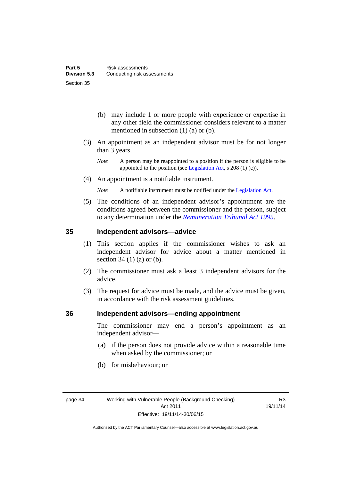- (b) may include 1 or more people with experience or expertise in any other field the commissioner considers relevant to a matter mentioned in subsection (1) (a) or (b).
- (3) An appointment as an independent advisor must be for not longer than 3 years.
	- *Note* A person may be reappointed to a position if the person is eligible to be appointed to the position (see [Legislation Act](http://www.legislation.act.gov.au/a/2001-14), s 208 (1) (c)).
- (4) An appointment is a notifiable instrument.
	- *Note* A notifiable instrument must be notified under the [Legislation Act](http://www.legislation.act.gov.au/a/2001-14).
- (5) The conditions of an independent advisor's appointment are the conditions agreed between the commissioner and the person, subject to any determination under the *[Remuneration Tribunal Act 1995](http://www.legislation.act.gov.au/a/1995-55)*.

#### **35 Independent advisors—advice**

- (1) This section applies if the commissioner wishes to ask an independent advisor for advice about a matter mentioned in section 34 (1) (a) or (b).
- (2) The commissioner must ask a least 3 independent advisors for the advice.
- (3) The request for advice must be made, and the advice must be given, in accordance with the risk assessment guidelines.

#### **36 Independent advisors—ending appointment**

The commissioner may end a person's appointment as an independent advisor—

- (a) if the person does not provide advice within a reasonable time when asked by the commissioner; or
- (b) for misbehaviour; or

R3 19/11/14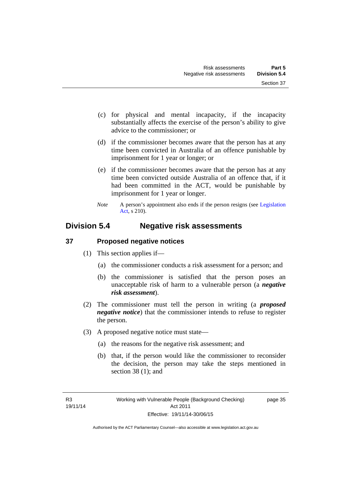- (c) for physical and mental incapacity, if the incapacity substantially affects the exercise of the person's ability to give advice to the commissioner; or
- (d) if the commissioner becomes aware that the person has at any time been convicted in Australia of an offence punishable by imprisonment for 1 year or longer; or
- (e) if the commissioner becomes aware that the person has at any time been convicted outside Australia of an offence that, if it had been committed in the ACT, would be punishable by imprisonment for 1 year or longer.
- *Note* A person's appointment also ends if the person resigns (see Legislation [Act](http://www.legislation.act.gov.au/a/2001-14), s 210).

# **Division 5.4 Negative risk assessments**

# **37 Proposed negative notices**

- (1) This section applies if—
	- (a) the commissioner conducts a risk assessment for a person; and
	- (b) the commissioner is satisfied that the person poses an unacceptable risk of harm to a vulnerable person (a *negative risk assessment*).
- (2) The commissioner must tell the person in writing (a *proposed negative notice*) that the commissioner intends to refuse to register the person.
- (3) A proposed negative notice must state—
	- (a) the reasons for the negative risk assessment; and
	- (b) that, if the person would like the commissioner to reconsider the decision, the person may take the steps mentioned in section 38 (1); and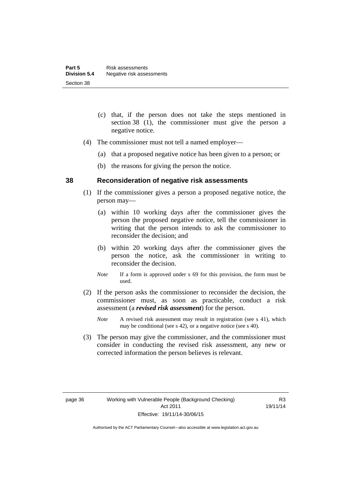- (c) that, if the person does not take the steps mentioned in section 38 (1), the commissioner must give the person a negative notice.
- (4) The commissioner must not tell a named employer—
	- (a) that a proposed negative notice has been given to a person; or
	- (b) the reasons for giving the person the notice.

#### **38 Reconsideration of negative risk assessments**

- (1) If the commissioner gives a person a proposed negative notice, the person may—
	- (a) within 10 working days after the commissioner gives the person the proposed negative notice, tell the commissioner in writing that the person intends to ask the commissioner to reconsider the decision; and
	- (b) within 20 working days after the commissioner gives the person the notice, ask the commissioner in writing to reconsider the decision.
	- *Note* If a form is approved under s 69 for this provision, the form must be used.
- (2) If the person asks the commissioner to reconsider the decision, the commissioner must, as soon as practicable, conduct a risk assessment (a *revised risk assessment*) for the person.
	- *Note* A revised risk assessment may result in registration (see s 41), which may be conditional (see s 42), or a negative notice (see s 40).
- (3) The person may give the commissioner, and the commissioner must consider in conducting the revised risk assessment, any new or corrected information the person believes is relevant.

R3 19/11/14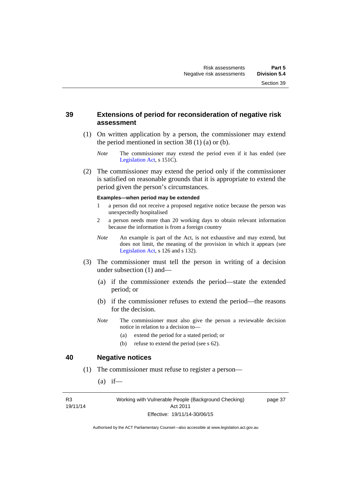#### **39 Extensions of period for reconsideration of negative risk assessment**

- (1) On written application by a person, the commissioner may extend the period mentioned in section  $38(1)(a)$  or (b).
	- *Note* The commissioner may extend the period even if it has ended (see [Legislation Act,](http://www.legislation.act.gov.au/a/2001-14) s 151C).
- (2) The commissioner may extend the period only if the commissioner is satisfied on reasonable grounds that it is appropriate to extend the period given the person's circumstances.

#### **Examples—when period may be extended**

- 1 a person did not receive a proposed negative notice because the person was unexpectedly hospitalised
- 2 a person needs more than 20 working days to obtain relevant information because the information is from a foreign country
- *Note* An example is part of the Act, is not exhaustive and may extend, but does not limit, the meaning of the provision in which it appears (see [Legislation Act,](http://www.legislation.act.gov.au/a/2001-14) s 126 and s 132).
- (3) The commissioner must tell the person in writing of a decision under subsection (1) and—
	- (a) if the commissioner extends the period—state the extended period; or
	- (b) if the commissioner refuses to extend the period—the reasons for the decision.
	- *Note* The commissioner must also give the person a reviewable decision notice in relation to a decision to—
		- (a) extend the period for a stated period; or
		- (b) refuse to extend the period (see s 62).

#### **40 Negative notices**

- (1) The commissioner must refuse to register a person—
	- $(a)$  if—

R3 19/11/14 Working with Vulnerable People (Background Checking) Act 2011 Effective: 19/11/14-30/06/15

page 37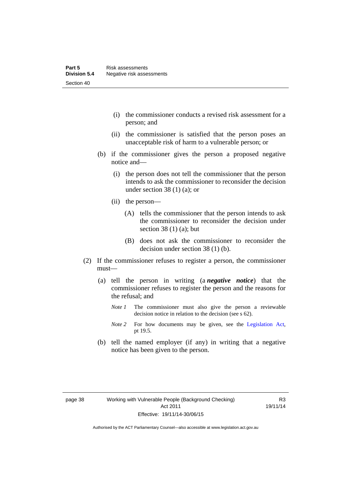- (i) the commissioner conducts a revised risk assessment for a person; and
- (ii) the commissioner is satisfied that the person poses an unacceptable risk of harm to a vulnerable person; or
- (b) if the commissioner gives the person a proposed negative notice and—
	- (i) the person does not tell the commissioner that the person intends to ask the commissioner to reconsider the decision under section 38 $(1)$  $(a)$ ; or
	- (ii) the person—
		- (A) tells the commissioner that the person intends to ask the commissioner to reconsider the decision under section 38 $(1)$  $(a)$ ; but
		- (B) does not ask the commissioner to reconsider the decision under section 38 (1) (b).
- (2) If the commissioner refuses to register a person, the commissioner must—
	- (a) tell the person in writing (a *negative notice*) that the commissioner refuses to register the person and the reasons for the refusal; and
		- *Note 1* The commissioner must also give the person a reviewable decision notice in relation to the decision (see s 62).
		- *Note* 2 For how documents may be given, see the [Legislation Act,](http://www.legislation.act.gov.au/a/2001-14) pt 19.5.
	- (b) tell the named employer (if any) in writing that a negative notice has been given to the person.

R3 19/11/14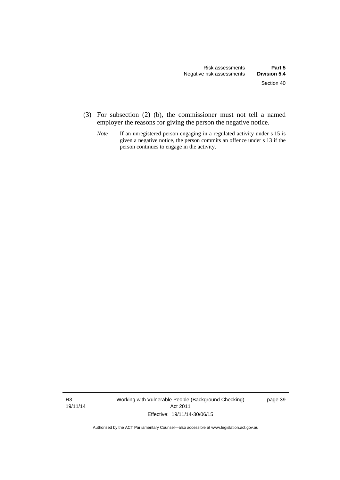- (3) For subsection (2) (b), the commissioner must not tell a named employer the reasons for giving the person the negative notice.
	- *Note* If an unregistered person engaging in a regulated activity under s 15 is given a negative notice, the person commits an offence under s 13 if the person continues to engage in the activity.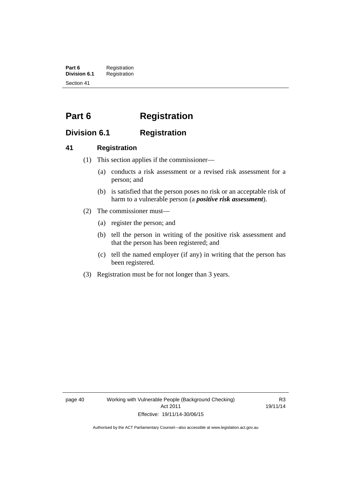**Part 6** Registration<br>**Division 6.1** Registration **Division 6.1** Registration Section 41

# **Part 6 Registration**

# **Division 6.1 Registration**

# **41 Registration**

- (1) This section applies if the commissioner—
	- (a) conducts a risk assessment or a revised risk assessment for a person; and
	- (b) is satisfied that the person poses no risk or an acceptable risk of harm to a vulnerable person (a *positive risk assessment*).
- (2) The commissioner must—
	- (a) register the person; and
	- (b) tell the person in writing of the positive risk assessment and that the person has been registered; and
	- (c) tell the named employer (if any) in writing that the person has been registered.
- (3) Registration must be for not longer than 3 years.

page 40 Working with Vulnerable People (Background Checking) Act 2011 Effective: 19/11/14-30/06/15

R3 19/11/14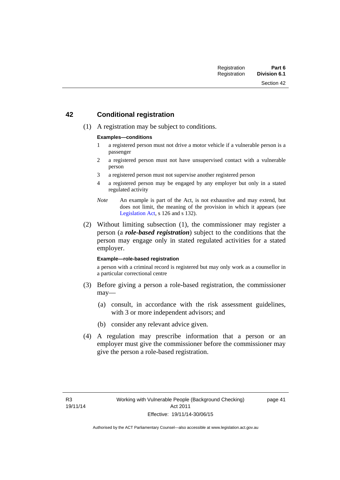## **42 Conditional registration**

(1) A registration may be subject to conditions.

#### **Examples—conditions**

- 1 a registered person must not drive a motor vehicle if a vulnerable person is a passenger
- 2 a registered person must not have unsupervised contact with a vulnerable person
- 3 a registered person must not supervise another registered person
- 4 a registered person may be engaged by any employer but only in a stated regulated activity
- *Note* An example is part of the Act, is not exhaustive and may extend, but does not limit, the meaning of the provision in which it appears (see [Legislation Act,](http://www.legislation.act.gov.au/a/2001-14) s 126 and s 132).
- (2) Without limiting subsection (1), the commissioner may register a person (a *role-based registration*) subject to the conditions that the person may engage only in stated regulated activities for a stated employer.

#### **Example—role-based registration**

a person with a criminal record is registered but may only work as a counsellor in a particular correctional centre

- (3) Before giving a person a role-based registration, the commissioner may—
	- (a) consult, in accordance with the risk assessment guidelines, with 3 or more independent advisors; and
	- (b) consider any relevant advice given.
- (4) A regulation may prescribe information that a person or an employer must give the commissioner before the commissioner may give the person a role-based registration.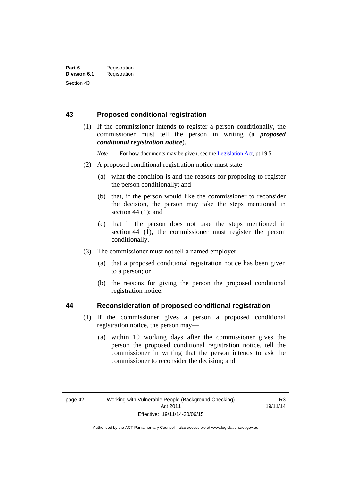## **43 Proposed conditional registration**

 (1) If the commissioner intends to register a person conditionally, the commissioner must tell the person in writing (a *proposed conditional registration notice*).

*Note* For how documents may be given, see the [Legislation Act,](http://www.legislation.act.gov.au/a/2001-14) pt 19.5.

- (2) A proposed conditional registration notice must state—
	- (a) what the condition is and the reasons for proposing to register the person conditionally; and
	- (b) that, if the person would like the commissioner to reconsider the decision, the person may take the steps mentioned in section  $44$  (1); and
	- (c) that if the person does not take the steps mentioned in section 44 (1), the commissioner must register the person conditionally.
- (3) The commissioner must not tell a named employer—
	- (a) that a proposed conditional registration notice has been given to a person; or
	- (b) the reasons for giving the person the proposed conditional registration notice.

#### **44 Reconsideration of proposed conditional registration**

- (1) If the commissioner gives a person a proposed conditional registration notice, the person may—
	- (a) within 10 working days after the commissioner gives the person the proposed conditional registration notice, tell the commissioner in writing that the person intends to ask the commissioner to reconsider the decision; and

R3 19/11/14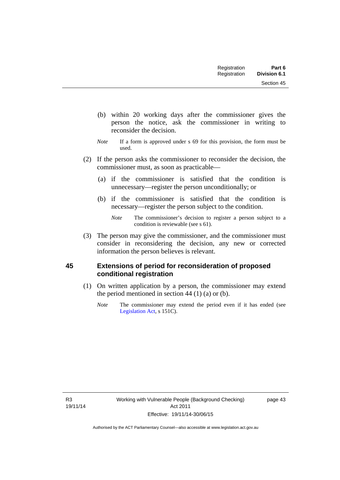Section 45

- (b) within 20 working days after the commissioner gives the person the notice, ask the commissioner in writing to reconsider the decision.
- *Note* If a form is approved under s 69 for this provision, the form must be used.
- (2) If the person asks the commissioner to reconsider the decision, the commissioner must, as soon as practicable—
	- (a) if the commissioner is satisfied that the condition is unnecessary—register the person unconditionally; or
	- (b) if the commissioner is satisfied that the condition is necessary—register the person subject to the condition.

 (3) The person may give the commissioner, and the commissioner must consider in reconsidering the decision, any new or corrected information the person believes is relevant.

# **45 Extensions of period for reconsideration of proposed conditional registration**

- (1) On written application by a person, the commissioner may extend the period mentioned in section  $44$  (1) (a) or (b).
	- *Note* The commissioner may extend the period even if it has ended (see [Legislation Act,](http://www.legislation.act.gov.au/a/2001-14) s 151C).

R3 19/11/14

*Note* The commissioner's decision to register a person subject to a condition is reviewable (see s 61).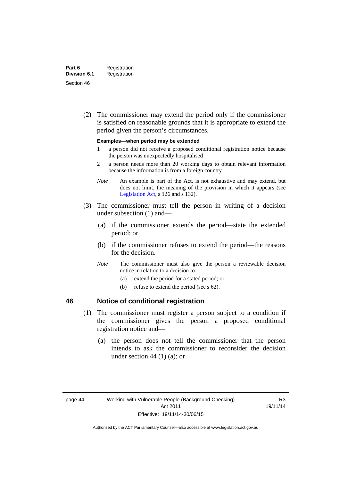(2) The commissioner may extend the period only if the commissioner is satisfied on reasonable grounds that it is appropriate to extend the period given the person's circumstances.

#### **Examples—when period may be extended**

- 1 a person did not receive a proposed conditional registration notice because the person was unexpectedly hospitalised
- 2 a person needs more than 20 working days to obtain relevant information because the information is from a foreign country
- *Note* An example is part of the Act, is not exhaustive and may extend, but does not limit, the meaning of the provision in which it appears (see [Legislation Act,](http://www.legislation.act.gov.au/a/2001-14) s 126 and s 132).
- (3) The commissioner must tell the person in writing of a decision under subsection (1) and—
	- (a) if the commissioner extends the period—state the extended period; or
	- (b) if the commissioner refuses to extend the period—the reasons for the decision.
	- *Note* The commissioner must also give the person a reviewable decision notice in relation to a decision to—
		- (a) extend the period for a stated period; or
		- (b) refuse to extend the period (see s 62).

## **46 Notice of conditional registration**

- (1) The commissioner must register a person subject to a condition if the commissioner gives the person a proposed conditional registration notice and—
	- (a) the person does not tell the commissioner that the person intends to ask the commissioner to reconsider the decision under section 44  $(1)$   $(a)$ ; or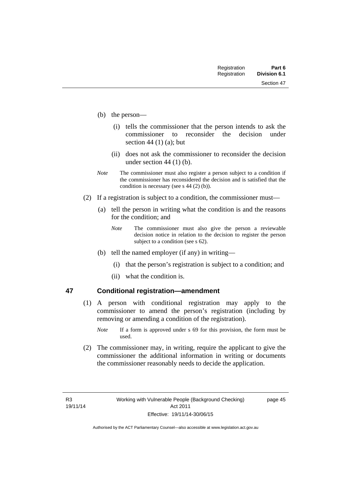Section 47

- (b) the person—
	- (i) tells the commissioner that the person intends to ask the commissioner to reconsider the decision under section 44 $(1)$  $(a)$ ; but
	- (ii) does not ask the commissioner to reconsider the decision under section 44 (1) (b).
- *Note* The commissioner must also register a person subject to a condition if the commissioner has reconsidered the decision and is satisfied that the condition is necessary (see s 44 (2) (b)).
- (2) If a registration is subject to a condition, the commissioner must—
	- (a) tell the person in writing what the condition is and the reasons for the condition; and
		- *Note* The commissioner must also give the person a reviewable decision notice in relation to the decision to register the person subject to a condition (see s 62).
	- (b) tell the named employer (if any) in writing—
		- (i) that the person's registration is subject to a condition; and
		- (ii) what the condition is.

### **47 Conditional registration—amendment**

- (1) A person with conditional registration may apply to the commissioner to amend the person's registration (including by removing or amending a condition of the registration).
	- *Note* If a form is approved under s 69 for this provision, the form must be used.
- (2) The commissioner may, in writing, require the applicant to give the commissioner the additional information in writing or documents the commissioner reasonably needs to decide the application.

page 45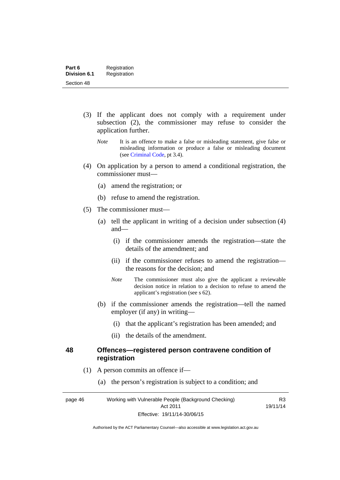- (3) If the applicant does not comply with a requirement under subsection (2), the commissioner may refuse to consider the application further.
	- *Note* It is an offence to make a false or misleading statement, give false or misleading information or produce a false or misleading document (see [Criminal Code,](http://www.legislation.act.gov.au/a/2002-51/default.asp) pt 3.4).
- (4) On application by a person to amend a conditional registration, the commissioner must—
	- (a) amend the registration; or
	- (b) refuse to amend the registration.
- (5) The commissioner must—
	- (a) tell the applicant in writing of a decision under subsection (4) and—
		- (i) if the commissioner amends the registration—state the details of the amendment; and
		- (ii) if the commissioner refuses to amend the registration the reasons for the decision; and
		- *Note* The commissioner must also give the applicant a reviewable decision notice in relation to a decision to refuse to amend the applicant's registration (see s 62).
	- (b) if the commissioner amends the registration—tell the named employer (if any) in writing—
		- (i) that the applicant's registration has been amended; and
		- (ii) the details of the amendment.

#### **48 Offences—registered person contravene condition of registration**

- (1) A person commits an offence if—
	- (a) the person's registration is subject to a condition; and

page 46 Working with Vulnerable People (Background Checking) Act 2011 Effective: 19/11/14-30/06/15

R3 19/11/14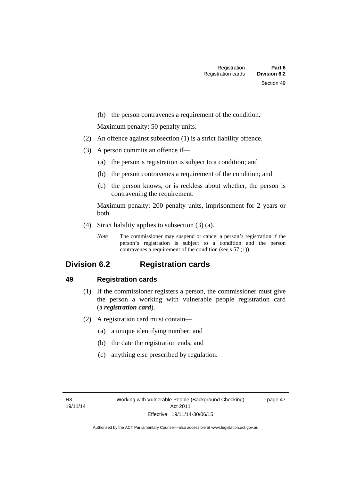(b) the person contravenes a requirement of the condition.

Maximum penalty: 50 penalty units.

- (2) An offence against subsection (1) is a strict liability offence.
- (3) A person commits an offence if—
	- (a) the person's registration is subject to a condition; and
	- (b) the person contravenes a requirement of the condition; and
	- (c) the person knows, or is reckless about whether, the person is contravening the requirement.

Maximum penalty: 200 penalty units, imprisonment for 2 years or both.

- (4) Strict liability applies to subsection (3) (a).
	- *Note* The commissioner may suspend or cancel a person's registration if the person's registration is subject to a condition and the person contravenes a requirement of the condition (see s 57 (1)).

# **Division 6.2 Registration cards**

## **49 Registration cards**

- (1) If the commissioner registers a person, the commissioner must give the person a working with vulnerable people registration card (a *registration card*).
- (2) A registration card must contain—
	- (a) a unique identifying number; and
	- (b) the date the registration ends; and
	- (c) anything else prescribed by regulation.

page 47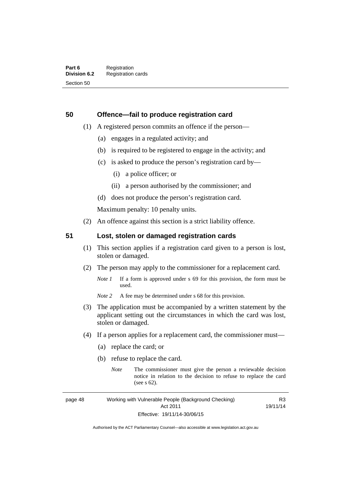## **50 Offence—fail to produce registration card**

- (1) A registered person commits an offence if the person—
	- (a) engages in a regulated activity; and
	- (b) is required to be registered to engage in the activity; and
	- (c) is asked to produce the person's registration card by—
		- (i) a police officer; or
		- (ii) a person authorised by the commissioner; and
	- (d) does not produce the person's registration card.

Maximum penalty: 10 penalty units.

(2) An offence against this section is a strict liability offence.

## **51 Lost, stolen or damaged registration cards**

- (1) This section applies if a registration card given to a person is lost, stolen or damaged.
- (2) The person may apply to the commissioner for a replacement card.
	- *Note 1* If a form is approved under s 69 for this provision, the form must be used.
	- *Note* 2 A fee may be determined under s 68 for this provision.
- (3) The application must be accompanied by a written statement by the applicant setting out the circumstances in which the card was lost, stolen or damaged.
- (4) If a person applies for a replacement card, the commissioner must—
	- (a) replace the card; or
	- (b) refuse to replace the card.
		- *Note* The commissioner must give the person a reviewable decision notice in relation to the decision to refuse to replace the card (see s 62).

page 48 Working with Vulnerable People (Background Checking) Act 2011 Effective: 19/11/14-30/06/15

R3 19/11/14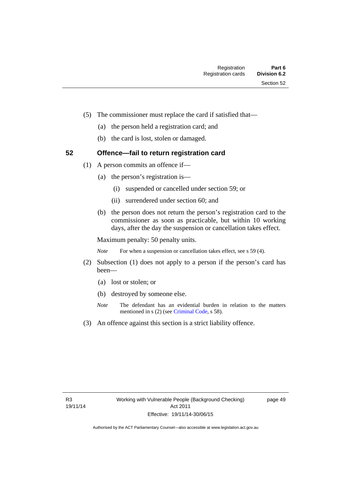- (5) The commissioner must replace the card if satisfied that—
	- (a) the person held a registration card; and
	- (b) the card is lost, stolen or damaged.

## **52 Offence—fail to return registration card**

- (1) A person commits an offence if—
	- (a) the person's registration is—
		- (i) suspended or cancelled under section 59; or
		- (ii) surrendered under section 60; and
	- (b) the person does not return the person's registration card to the commissioner as soon as practicable, but within 10 working days, after the day the suspension or cancellation takes effect.

Maximum penalty: 50 penalty units.

*Note* For when a suspension or cancellation takes effect, see s 59 (4).

- (2) Subsection (1) does not apply to a person if the person's card has been—
	- (a) lost or stolen; or
	- (b) destroyed by someone else.
	- *Note* The defendant has an evidential burden in relation to the matters mentioned in s (2) (see [Criminal Code](http://www.legislation.act.gov.au/a/2002-51/default.asp), s 58).
- (3) An offence against this section is a strict liability offence.

page 49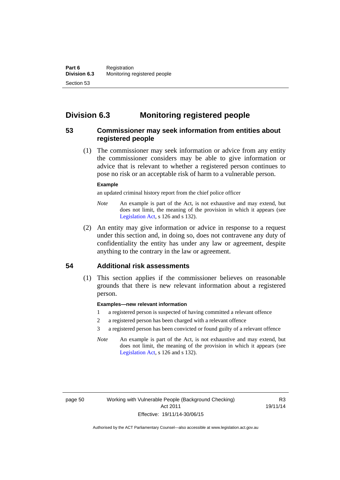# **Division 6.3 Monitoring registered people**

## **53 Commissioner may seek information from entities about registered people**

 (1) The commissioner may seek information or advice from any entity the commissioner considers may be able to give information or advice that is relevant to whether a registered person continues to pose no risk or an acceptable risk of harm to a vulnerable person.

#### **Example**

an updated criminal history report from the chief police officer

- *Note* An example is part of the Act, is not exhaustive and may extend, but does not limit, the meaning of the provision in which it appears (see [Legislation Act,](http://www.legislation.act.gov.au/a/2001-14) s 126 and s 132).
- (2) An entity may give information or advice in response to a request under this section and, in doing so, does not contravene any duty of confidentiality the entity has under any law or agreement, despite anything to the contrary in the law or agreement.

## **54 Additional risk assessments**

(1) This section applies if the commissioner believes on reasonable grounds that there is new relevant information about a registered person.

#### **Examples—new relevant information**

- 1 a registered person is suspected of having committed a relevant offence
- 2 a registered person has been charged with a relevant offence
- 3 a registered person has been convicted or found guilty of a relevant offence
- *Note* An example is part of the Act, is not exhaustive and may extend, but does not limit, the meaning of the provision in which it appears (see [Legislation Act,](http://www.legislation.act.gov.au/a/2001-14) s 126 and s 132).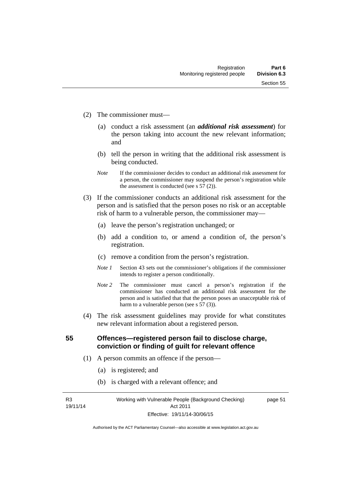- (2) The commissioner must—
	- (a) conduct a risk assessment (an *additional risk assessment*) for the person taking into account the new relevant information; and
	- (b) tell the person in writing that the additional risk assessment is being conducted.
	- *Note* If the commissioner decides to conduct an additional risk assessment for a person, the commissioner may suspend the person's registration while the assessment is conducted (see s  $57(2)$ ).
- (3) If the commissioner conducts an additional risk assessment for the person and is satisfied that the person poses no risk or an acceptable risk of harm to a vulnerable person, the commissioner may—
	- (a) leave the person's registration unchanged; or
	- (b) add a condition to, or amend a condition of, the person's registration.
	- (c) remove a condition from the person's registration.
	- *Note 1* Section 43 sets out the commissioner's obligations if the commissioner intends to register a person conditionally.
	- *Note 2* The commissioner must cancel a person's registration if the commissioner has conducted an additional risk assessment for the person and is satisfied that that the person poses an unacceptable risk of harm to a vulnerable person (see s 57 (3)).
- (4) The risk assessment guidelines may provide for what constitutes new relevant information about a registered person.

**55 Offences—registered person fail to disclose charge, conviction or finding of guilt for relevant offence** 

- (1) A person commits an offence if the person—
	- (a) is registered; and
	- (b) is charged with a relevant offence; and

R3 19/11/14 Working with Vulnerable People (Background Checking) Act 2011 Effective: 19/11/14-30/06/15

page 51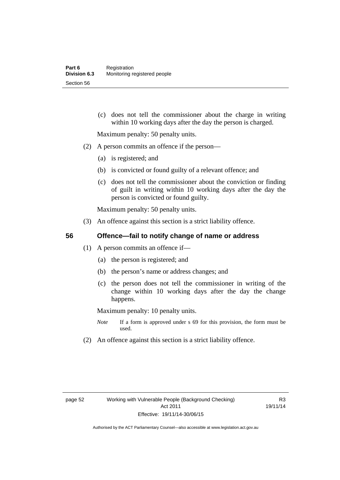(c) does not tell the commissioner about the charge in writing within 10 working days after the day the person is charged.

Maximum penalty: 50 penalty units.

- (2) A person commits an offence if the person—
	- (a) is registered; and
	- (b) is convicted or found guilty of a relevant offence; and
	- (c) does not tell the commissioner about the conviction or finding of guilt in writing within 10 working days after the day the person is convicted or found guilty.

Maximum penalty: 50 penalty units.

(3) An offence against this section is a strict liability offence.

## **56 Offence—fail to notify change of name or address**

- (1) A person commits an offence if—
	- (a) the person is registered; and
	- (b) the person's name or address changes; and
	- (c) the person does not tell the commissioner in writing of the change within 10 working days after the day the change happens.

Maximum penalty: 10 penalty units.

- *Note* If a form is approved under s 69 for this provision, the form must be used.
- (2) An offence against this section is a strict liability offence.

R3 19/11/14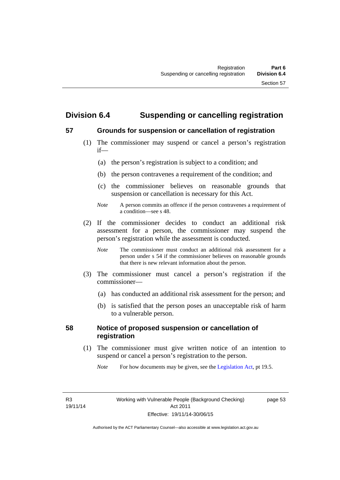# **Division 6.4 Suspending or cancelling registration**

## **57 Grounds for suspension or cancellation of registration**

- (1) The commissioner may suspend or cancel a person's registration if—
	- (a) the person's registration is subject to a condition; and
	- (b) the person contravenes a requirement of the condition; and
	- (c) the commissioner believes on reasonable grounds that suspension or cancellation is necessary for this Act.
	- *Note* A person commits an offence if the person contravenes a requirement of a condition—see s 48.
- (2) If the commissioner decides to conduct an additional risk assessment for a person, the commissioner may suspend the person's registration while the assessment is conducted.
	- *Note* The commissioner must conduct an additional risk assessment for a person under s 54 if the commissioner believes on reasonable grounds that there is new relevant information about the person.
- (3) The commissioner must cancel a person's registration if the commissioner—
	- (a) has conducted an additional risk assessment for the person; and
	- (b) is satisfied that the person poses an unacceptable risk of harm to a vulnerable person.

## **58 Notice of proposed suspension or cancellation of registration**

 (1) The commissioner must give written notice of an intention to suspend or cancel a person's registration to the person.

*Note* For how documents may be given, see the [Legislation Act,](http://www.legislation.act.gov.au/a/2001-14) pt 19.5.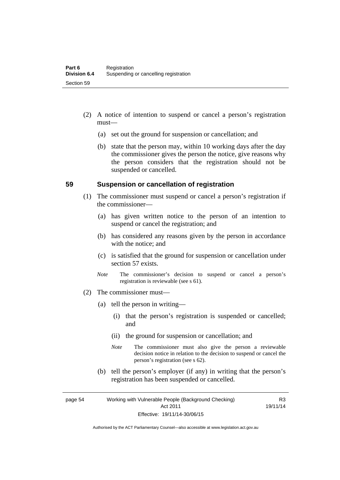- (2) A notice of intention to suspend or cancel a person's registration must—
	- (a) set out the ground for suspension or cancellation; and
	- (b) state that the person may, within 10 working days after the day the commissioner gives the person the notice, give reasons why the person considers that the registration should not be suspended or cancelled.

#### **59 Suspension or cancellation of registration**

- (1) The commissioner must suspend or cancel a person's registration if the commissioner—
	- (a) has given written notice to the person of an intention to suspend or cancel the registration; and
	- (b) has considered any reasons given by the person in accordance with the notice; and
	- (c) is satisfied that the ground for suspension or cancellation under section 57 exists.
	- *Note* The commissioner's decision to suspend or cancel a person's registration is reviewable (see s 61).
- (2) The commissioner must—
	- (a) tell the person in writing—
		- (i) that the person's registration is suspended or cancelled; and
		- (ii) the ground for suspension or cancellation; and
		- *Note* The commissioner must also give the person a reviewable decision notice in relation to the decision to suspend or cancel the person's registration (see s 62).
	- (b) tell the person's employer (if any) in writing that the person's registration has been suspended or cancelled.

page 54 Working with Vulnerable People (Background Checking) Act 2011 Effective: 19/11/14-30/06/15

R3 19/11/14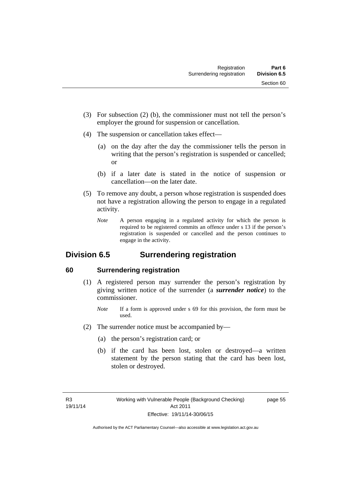- (3) For subsection (2) (b), the commissioner must not tell the person's employer the ground for suspension or cancellation.
- (4) The suspension or cancellation takes effect—
	- (a) on the day after the day the commissioner tells the person in writing that the person's registration is suspended or cancelled; or
	- (b) if a later date is stated in the notice of suspension or cancellation—on the later date.
- (5) To remove any doubt, a person whose registration is suspended does not have a registration allowing the person to engage in a regulated activity.
	- *Note* A person engaging in a regulated activity for which the person is required to be registered commits an offence under s 13 if the person's registration is suspended or cancelled and the person continues to engage in the activity.

# **Division 6.5 Surrendering registration**

# **60 Surrendering registration**

- (1) A registered person may surrender the person's registration by giving written notice of the surrender (a *surrender notice*) to the commissioner.
	- *Note* If a form is approved under s 69 for this provision, the form must be used.
- (2) The surrender notice must be accompanied by—
	- (a) the person's registration card; or
	- (b) if the card has been lost, stolen or destroyed—a written statement by the person stating that the card has been lost, stolen or destroyed.

page 55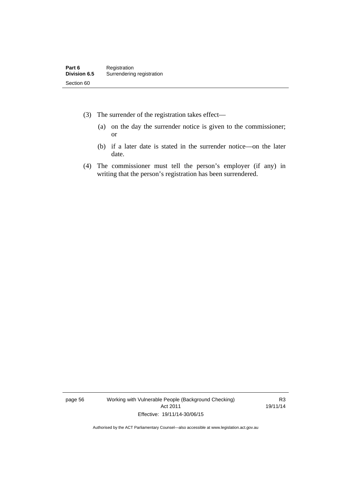- (3) The surrender of the registration takes effect—
	- (a) on the day the surrender notice is given to the commissioner; or
	- (b) if a later date is stated in the surrender notice—on the later date.
- (4) The commissioner must tell the person's employer (if any) in writing that the person's registration has been surrendered.

page 56 Working with Vulnerable People (Background Checking) Act 2011 Effective: 19/11/14-30/06/15

R3 19/11/14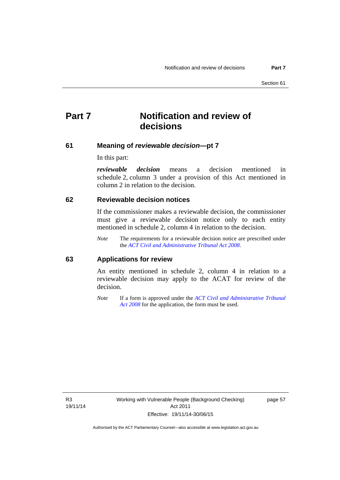# **Part 7 Notification and review of decisions**

#### **61 Meaning of** *reviewable decision***—pt 7**

In this part:

*reviewable decision* means a decision mentioned in schedule 2, column 3 under a provision of this Act mentioned in column 2 in relation to the decision.

#### **62 Reviewable decision notices**

If the commissioner makes a reviewable decision, the commissioner must give a reviewable decision notice only to each entity mentioned in schedule 2, column 4 in relation to the decision.

*Note* The requirements for a reviewable decision notice are prescribed under the *[ACT Civil and Administrative Tribunal Act 2008](http://www.legislation.act.gov.au/a/2008-35)*.

#### **63 Applications for review**

An entity mentioned in schedule 2, column 4 in relation to a reviewable decision may apply to the ACAT for review of the decision.

*Note* If a form is approved under the *[ACT Civil and Administrative Tribunal](http://www.legislation.act.gov.au/a/2008-35)  [Act 2008](http://www.legislation.act.gov.au/a/2008-35)* for the application, the form must be used.

R3 19/11/14 page 57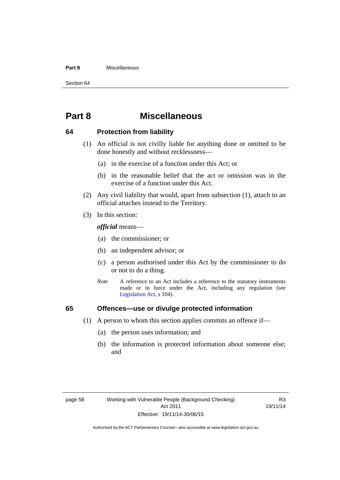#### **Part 8** Miscellaneous

Section 64

# **Part 8 Miscellaneous**

#### **64 Protection from liability**

- (1) An official is not civilly liable for anything done or omitted to be done honestly and without recklessness—
	- (a) in the exercise of a function under this Act; or
	- (b) in the reasonable belief that the act or omission was in the exercise of a function under this Act.
- (2) Any civil liability that would, apart from subsection (1), attach to an official attaches instead to the Territory.
- (3) In this section:

*official* means—

- (a) the commissioner; or
- (b) an independent advisor; or
- (c) a person authorised under this Act by the commissioner to do or not to do a thing.
- *Note* A reference to an Act includes a reference to the statutory instruments made or in force under the Act, including any regulation (see [Legislation Act,](http://www.legislation.act.gov.au/a/2001-14) s 104).

## **65 Offences—use or divulge protected information**

- (1) A person to whom this section applies commits an offence if—
	- (a) the person uses information; and
	- (b) the information is protected information about someone else; and

R3 19/11/14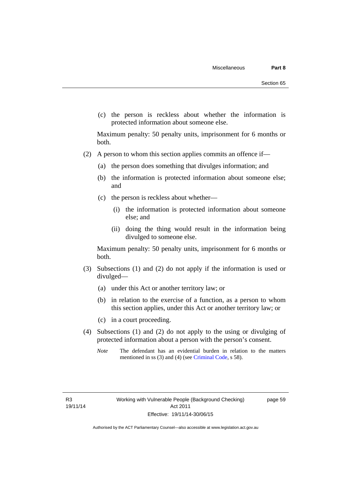(c) the person is reckless about whether the information is protected information about someone else.

Maximum penalty: 50 penalty units, imprisonment for 6 months or both.

- (2) A person to whom this section applies commits an offence if—
	- (a) the person does something that divulges information; and
	- (b) the information is protected information about someone else; and
	- (c) the person is reckless about whether—
		- (i) the information is protected information about someone else; and
		- (ii) doing the thing would result in the information being divulged to someone else.

Maximum penalty: 50 penalty units, imprisonment for 6 months or both.

- (3) Subsections (1) and (2) do not apply if the information is used or divulged—
	- (a) under this Act or another territory law; or
	- (b) in relation to the exercise of a function, as a person to whom this section applies, under this Act or another territory law; or
	- (c) in a court proceeding.
- (4) Subsections (1) and (2) do not apply to the using or divulging of protected information about a person with the person's consent.
	- *Note* The defendant has an evidential burden in relation to the matters mentioned in ss (3) and (4) (see [Criminal Code](http://www.legislation.act.gov.au/a/2002-51/default.asp), s 58).

page 59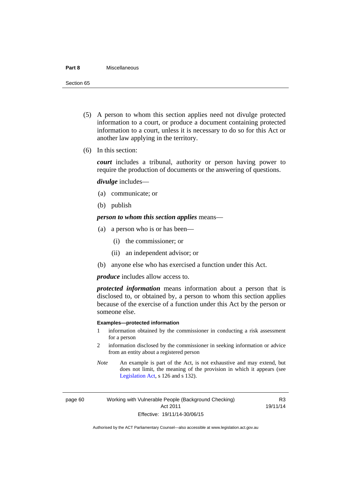#### **Part 8** Miscellaneous

Section 65

- (5) A person to whom this section applies need not divulge protected information to a court, or produce a document containing protected information to a court, unless it is necessary to do so for this Act or another law applying in the territory.
- (6) In this section:

*court* includes a tribunal, authority or person having power to require the production of documents or the answering of questions.

*divulge* includes—

- (a) communicate; or
- (b) publish

*person to whom this section applies* means—

- (a) a person who is or has been—
	- (i) the commissioner; or
	- (ii) an independent advisor; or
- (b) anyone else who has exercised a function under this Act.

*produce* includes allow access to.

*protected information* means information about a person that is disclosed to, or obtained by, a person to whom this section applies because of the exercise of a function under this Act by the person or someone else.

#### **Examples—protected information**

- 1 information obtained by the commissioner in conducting a risk assessment for a person
- 2 information disclosed by the commissioner in seeking information or advice from an entity about a registered person
- *Note* An example is part of the Act, is not exhaustive and may extend, but does not limit, the meaning of the provision in which it appears (see [Legislation Act,](http://www.legislation.act.gov.au/a/2001-14) s 126 and s 132).

page 60 Working with Vulnerable People (Background Checking) Act 2011 Effective: 19/11/14-30/06/15

R3 19/11/14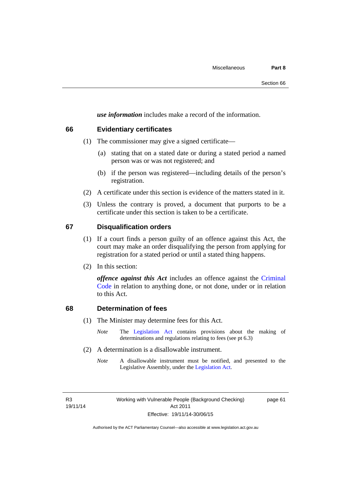*use information* includes make a record of the information.

#### **66 Evidentiary certificates**

- (1) The commissioner may give a signed certificate—
	- (a) stating that on a stated date or during a stated period a named person was or was not registered; and
	- (b) if the person was registered—including details of the person's registration.
- (2) A certificate under this section is evidence of the matters stated in it.
- (3) Unless the contrary is proved, a document that purports to be a certificate under this section is taken to be a certificate.

#### **67 Disqualification orders**

- (1) If a court finds a person guilty of an offence against this Act, the court may make an order disqualifying the person from applying for registration for a stated period or until a stated thing happens.
- (2) In this section:

*offence against this Act* includes an offence against the [Criminal](http://www.legislation.act.gov.au/a/2002-51)  [Code](http://www.legislation.act.gov.au/a/2002-51) in relation to anything done, or not done, under or in relation to this Act.

#### **68 Determination of fees**

- (1) The Minister may determine fees for this Act.
	- *Note* The [Legislation Act](http://www.legislation.act.gov.au/a/2001-14) contains provisions about the making of determinations and regulations relating to fees (see pt 6.3)
- (2) A determination is a disallowable instrument.
	- *Note* A disallowable instrument must be notified, and presented to the Legislative Assembly, under the [Legislation Act.](http://www.legislation.act.gov.au/a/2001-14)

R3 19/11/14 page 61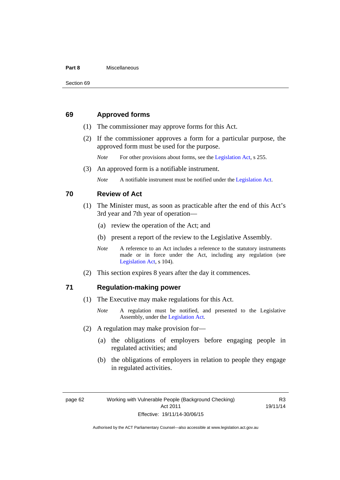#### **Part 8** Miscellaneous

#### **69 Approved forms**

- (1) The commissioner may approve forms for this Act.
- (2) If the commissioner approves a form for a particular purpose, the approved form must be used for the purpose.

*Note* For other provisions about forms, see the [Legislation Act,](http://www.legislation.act.gov.au/a/2001-14) s 255.

(3) An approved form is a notifiable instrument.

*Note* A notifiable instrument must be notified under the [Legislation Act](http://www.legislation.act.gov.au/a/2001-14).

#### **70 Review of Act**

- (1) The Minister must, as soon as practicable after the end of this Act's 3rd year and 7th year of operation—
	- (a) review the operation of the Act; and
	- (b) present a report of the review to the Legislative Assembly.
	- *Note* A reference to an Act includes a reference to the statutory instruments made or in force under the Act, including any regulation (see [Legislation Act,](http://www.legislation.act.gov.au/a/2001-14) s 104).
- (2) This section expires 8 years after the day it commences.

#### **71 Regulation-making power**

- (1) The Executive may make regulations for this Act.
	- *Note* A regulation must be notified, and presented to the Legislative Assembly, under the [Legislation Act](http://www.legislation.act.gov.au/a/2001-14).
- (2) A regulation may make provision for—
	- (a) the obligations of employers before engaging people in regulated activities; and
	- (b) the obligations of employers in relation to people they engage in regulated activities.

page 62 Working with Vulnerable People (Background Checking) Act 2011 Effective: 19/11/14-30/06/15

R3 19/11/14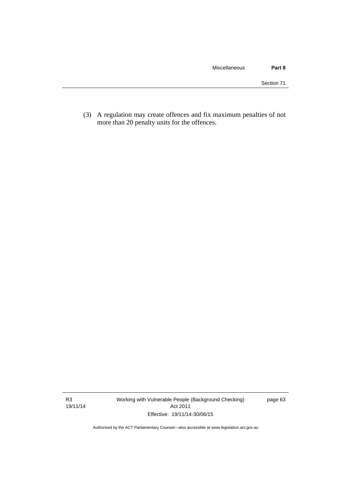(3) A regulation may create offences and fix maximum penalties of not more than 20 penalty units for the offences.

R3 19/11/14 Working with Vulnerable People (Background Checking) Act 2011 Effective: 19/11/14-30/06/15

page 63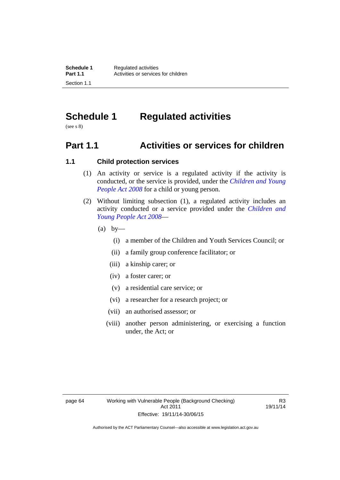# **Schedule 1 Regulated activities**

(see s 8)

# **Part 1.1 Activities or services for children**

## **1.1 Child protection services**

- (1) An activity or service is a regulated activity if the activity is conducted, or the service is provided, under the *[Children and Young](http://www.legislation.act.gov.au/a/2008-19)  [People Act 2008](http://www.legislation.act.gov.au/a/2008-19)* for a child or young person.
- (2) Without limiting subsection (1), a regulated activity includes an activity conducted or a service provided under the *[Children and](http://www.legislation.act.gov.au/a/2008-19)  [Young People Act 2008](http://www.legislation.act.gov.au/a/2008-19)*—
	- $(a)$  by—
		- (i) a member of the Children and Youth Services Council; or
		- (ii) a family group conference facilitator; or
		- (iii) a kinship carer; or
		- (iv) a foster carer; or
		- (v) a residential care service; or
		- (vi) a researcher for a research project; or
		- (vii) an authorised assessor; or
		- (viii) another person administering, or exercising a function under, the Act; or

R3 19/11/14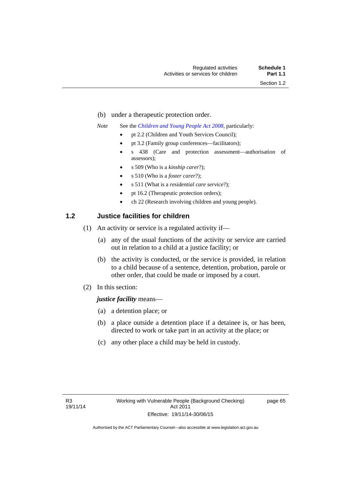- (b) under a therapeutic protection order.
- *Note* See the *[Children and Young People Act 2008](http://www.legislation.act.gov.au/a/2008-19)*, particularly:
	- pt 2.2 (Children and Youth Services Council);
	- pt 3.2 (Family group conferences—facilitators);
	- s 438 (Care and protection assessment—authorisation of assessors);
	- s 509 (Who is a *kinship carer*?);
	- s 510 (Who is a *foster carer*?);
	- s 511 (What is a *residential care service*?);
	- pt 16.2 (Therapeutic protection orders);
	- ch 22 (Research involving children and young people).

# **1.2 Justice facilities for children**

- (1) An activity or service is a regulated activity if—
	- (a) any of the usual functions of the activity or service are carried out in relation to a child at a justice facility; or
	- (b) the activity is conducted, or the service is provided, in relation to a child because of a sentence, detention, probation, parole or other order, that could be made or imposed by a court.
- (2) In this section:

### *justice facility* means—

- (a) a detention place; or
- (b) a place outside a detention place if a detainee is, or has been, directed to work or take part in an activity at the place; or
- (c) any other place a child may be held in custody.

page 65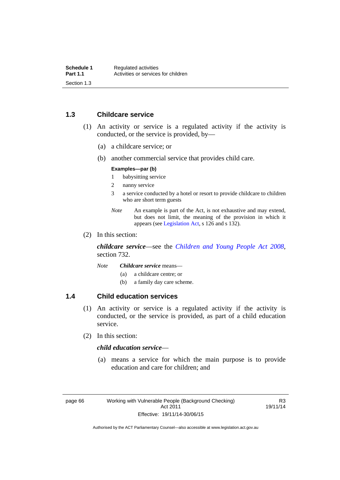# **1.3 Childcare service**

- (1) An activity or service is a regulated activity if the activity is conducted, or the service is provided, by—
	- (a) a childcare service; or
	- (b) another commercial service that provides child care.

#### **Examples—par (b)**

- 1 babysitting service
- 2 nanny service
- 3 a service conducted by a hotel or resort to provide childcare to children who are short term guests
- *Note* An example is part of the Act, is not exhaustive and may extend, but does not limit, the meaning of the provision in which it appears (see [Legislation Act,](http://www.legislation.act.gov.au/a/2001-14) s 126 and s 132).
- (2) In this section:

*childcare service*—see the *[Children and Young People Act 2008](http://www.legislation.act.gov.au/a/2008-19)*, section 732.

- *Note Childcare service* means—
	- (a) a childcare centre; or
	- (b) a family day care scheme.

# **1.4 Child education services**

- (1) An activity or service is a regulated activity if the activity is conducted, or the service is provided, as part of a child education service.
- (2) In this section:

# *child education service*—

 (a) means a service for which the main purpose is to provide education and care for children; and

R3 19/11/14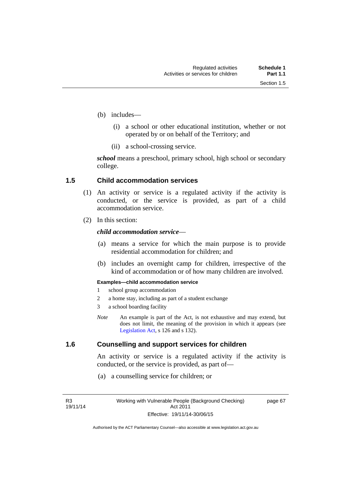page 67

- (b) includes—
	- (i) a school or other educational institution, whether or not operated by or on behalf of the Territory; and
	- (ii) a school-crossing service.

*school* means a preschool, primary school, high school or secondary college.

## **1.5 Child accommodation services**

- (1) An activity or service is a regulated activity if the activity is conducted, or the service is provided, as part of a child accommodation service.
- (2) In this section:

## *child accommodation service*—

- (a) means a service for which the main purpose is to provide residential accommodation for children; and
- (b) includes an overnight camp for children, irrespective of the kind of accommodation or of how many children are involved.

#### **Examples—child accommodation service**

- 1 school group accommodation
- 2 a home stay, including as part of a student exchange
- 3 a school boarding facility
- *Note* An example is part of the Act, is not exhaustive and may extend, but does not limit, the meaning of the provision in which it appears (see [Legislation Act,](http://www.legislation.act.gov.au/a/2001-14) s 126 and s 132).

# **1.6 Counselling and support services for children**

An activity or service is a regulated activity if the activity is conducted, or the service is provided, as part of—

(a) a counselling service for children; or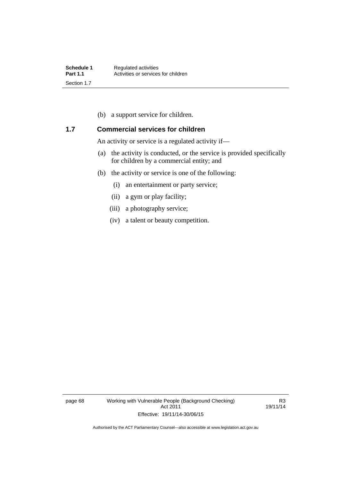(b) a support service for children.

# **1.7 Commercial services for children**

An activity or service is a regulated activity if—

- (a) the activity is conducted, or the service is provided specifically for children by a commercial entity; and
- (b) the activity or service is one of the following:
	- (i) an entertainment or party service;
	- (ii) a gym or play facility;
	- (iii) a photography service;
	- (iv) a talent or beauty competition.

page 68 Working with Vulnerable People (Background Checking) Act 2011 Effective: 19/11/14-30/06/15

R3 19/11/14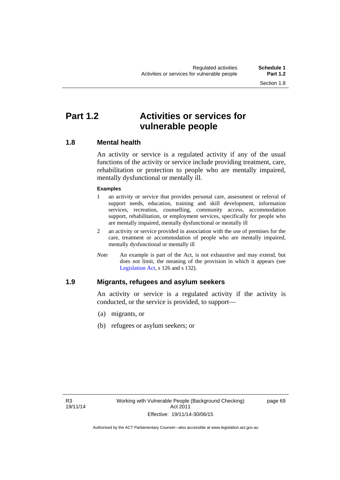# **Part 1.2 Activities or services for vulnerable people**

# **1.8 Mental health**

An activity or service is a regulated activity if any of the usual functions of the activity or service include providing treatment, care, rehabilitation or protection to people who are mentally impaired, mentally dysfunctional or mentally ill.

### **Examples**

- 1 an activity or service that provides personal care, assessment or referral of support needs, education, training and skill development, information services, recreation, counselling, community access, accommodation support, rehabilitation, or employment services, specifically for people who are mentally impaired, mentally dysfunctional or mentally ill
- 2 an activity or service provided in association with the use of premises for the care, treatment or accommodation of people who are mentally impaired, mentally dysfunctional or mentally ill
- *Note* An example is part of the Act, is not exhaustive and may extend, but does not limit, the meaning of the provision in which it appears (see [Legislation Act,](http://www.legislation.act.gov.au/a/2001-14) s 126 and s 132).

# **1.9 Migrants, refugees and asylum seekers**

An activity or service is a regulated activity if the activity is conducted, or the service is provided, to support—

- (a) migrants, or
- (b) refugees or asylum seekers; or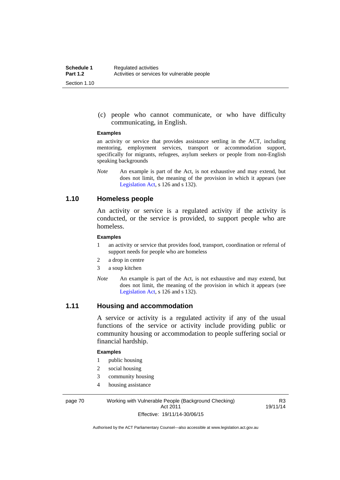(c) people who cannot communicate, or who have difficulty communicating, in English.

#### **Examples**

an activity or service that provides assistance settling in the ACT, including mentoring, employment services, transport or accommodation support, specifically for migrants, refugees, asylum seekers or people from non-English speaking backgrounds

*Note* An example is part of the Act, is not exhaustive and may extend, but does not limit, the meaning of the provision in which it appears (see [Legislation Act,](http://www.legislation.act.gov.au/a/2001-14) s 126 and s 132).

# **1.10 Homeless people**

An activity or service is a regulated activity if the activity is conducted, or the service is provided, to support people who are homeless.

#### **Examples**

- 1 an activity or service that provides food, transport, coordination or referral of support needs for people who are homeless
- 2 a drop in centre
- 3 a soup kitchen
- *Note* An example is part of the Act, is not exhaustive and may extend, but does not limit, the meaning of the provision in which it appears (see [Legislation Act,](http://www.legislation.act.gov.au/a/2001-14) s 126 and s 132).

## **1.11 Housing and accommodation**

A service or activity is a regulated activity if any of the usual functions of the service or activity include providing public or community housing or accommodation to people suffering social or financial hardship.

#### **Examples**

- 1 public housing
- 2 social housing
- 3 community housing
- 4 housing assistance

page 70 Working with Vulnerable People (Background Checking) Act 2011 Effective: 19/11/14-30/06/15

R3 19/11/14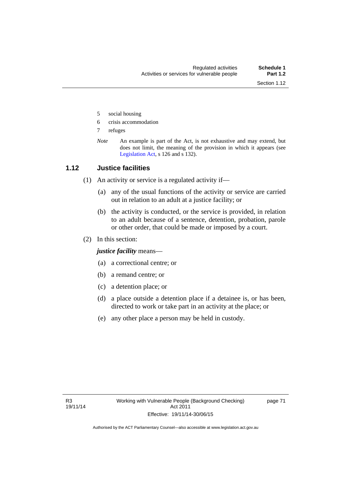- 5 social housing
- 6 crisis accommodation
- 7 refuges
- *Note* An example is part of the Act, is not exhaustive and may extend, but does not limit, the meaning of the provision in which it appears (see [Legislation Act,](http://www.legislation.act.gov.au/a/2001-14) s 126 and s 132).

# **1.12 Justice facilities**

- (1) An activity or service is a regulated activity if—
	- (a) any of the usual functions of the activity or service are carried out in relation to an adult at a justice facility; or
	- (b) the activity is conducted, or the service is provided, in relation to an adult because of a sentence, detention, probation, parole or other order, that could be made or imposed by a court.
- (2) In this section:

*justice facility* means—

- (a) a correctional centre; or
- (b) a remand centre; or
- (c) a detention place; or
- (d) a place outside a detention place if a detainee is, or has been, directed to work or take part in an activity at the place; or
- (e) any other place a person may be held in custody.

page 71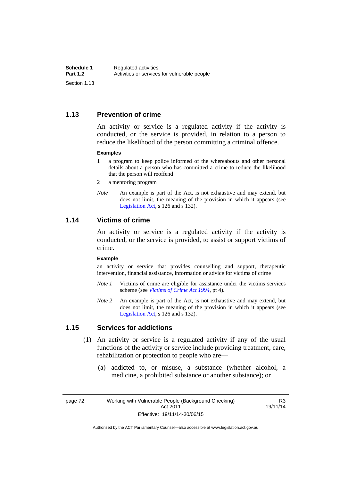# **1.13 Prevention of crime**

An activity or service is a regulated activity if the activity is conducted, or the service is provided, in relation to a person to reduce the likelihood of the person committing a criminal offence.

#### **Examples**

- 1 a program to keep police informed of the whereabouts and other personal details about a person who has committed a crime to reduce the likelihood that the person will reoffend
- 2 a mentoring program
- *Note* An example is part of the Act, is not exhaustive and may extend, but does not limit, the meaning of the provision in which it appears (see [Legislation Act,](http://www.legislation.act.gov.au/a/2001-14) s 126 and s 132).

## **1.14 Victims of crime**

An activity or service is a regulated activity if the activity is conducted, or the service is provided, to assist or support victims of crime.

#### **Example**

an activity or service that provides counselling and support, therapeutic intervention, financial assistance, information or advice for victims of crime

- *Note 1* Victims of crime are eligible for assistance under the victims services scheme (see *[Victims of Crime Act 1994](http://www.legislation.act.gov.au/a/1994-83)*, pt 4).
- *Note 2* An example is part of the Act, is not exhaustive and may extend, but does not limit, the meaning of the provision in which it appears (see [Legislation Act,](http://www.legislation.act.gov.au/a/2001-14) s 126 and s 132).

## **1.15 Services for addictions**

- (1) An activity or service is a regulated activity if any of the usual functions of the activity or service include providing treatment, care, rehabilitation or protection to people who are—
	- (a) addicted to, or misuse, a substance (whether alcohol, a medicine, a prohibited substance or another substance); or

page 72 Working with Vulnerable People (Background Checking) Act 2011 Effective: 19/11/14-30/06/15

R3 19/11/14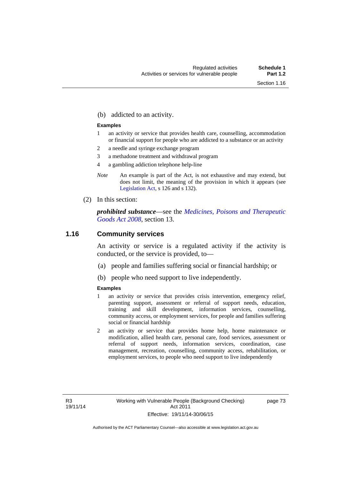(b) addicted to an activity.

#### **Examples**

- 1 an activity or service that provides health care, counselling, accommodation or financial support for people who are addicted to a substance or an activity
- 2 a needle and syringe exchange program
- 3 a methadone treatment and withdrawal program
- 4 a gambling addiction telephone help-line
- *Note* An example is part of the Act, is not exhaustive and may extend, but does not limit, the meaning of the provision in which it appears (see [Legislation Act,](http://www.legislation.act.gov.au/a/2001-14) s 126 and s 132).
- (2) In this section:

*prohibited substance*—see the *[Medicines, Poisons and Therapeutic](http://www.legislation.act.gov.au/a/2008-26)  [Goods Act 2008](http://www.legislation.act.gov.au/a/2008-26)*, section 13.

## **1.16 Community services**

An activity or service is a regulated activity if the activity is conducted, or the service is provided, to—

- (a) people and families suffering social or financial hardship; or
- (b) people who need support to live independently.

#### **Examples**

- 1 an activity or service that provides crisis intervention, emergency relief, parenting support, assessment or referral of support needs, education, training and skill development, information services, counselling, community access, or employment services, for people and families suffering social or financial hardship
- 2 an activity or service that provides home help, home maintenance or modification, allied health care, personal care, food services, assessment or referral of support needs, information services, coordination, case management, recreation, counselling, community access, rehabilitation, or employment services, to people who need support to live independently

page 73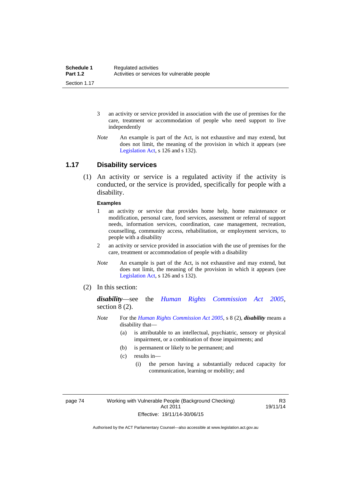- 3 an activity or service provided in association with the use of premises for the care, treatment or accommodation of people who need support to live independently
- *Note* An example is part of the Act, is not exhaustive and may extend, but does not limit, the meaning of the provision in which it appears (see [Legislation Act,](http://www.legislation.act.gov.au/a/2001-14) s 126 and s 132).

## **1.17 Disability services**

 (1) An activity or service is a regulated activity if the activity is conducted, or the service is provided, specifically for people with a disability.

#### **Examples**

- 1 an activity or service that provides home help, home maintenance or modification, personal care, food services, assessment or referral of support needs, information services, coordination, case management, recreation, counselling, community access, rehabilitation, or employment services, to people with a disability
- 2 an activity or service provided in association with the use of premises for the care, treatment or accommodation of people with a disability
- *Note* An example is part of the Act, is not exhaustive and may extend, but does not limit, the meaning of the provision in which it appears (see [Legislation Act,](http://www.legislation.act.gov.au/a/2001-14) s 126 and s 132).
- (2) In this section:

*disability*—see the *[Human Rights Commission Act 2005](http://www.legislation.act.gov.au/a/2005-40)*, section 8 (2).

- *Note* For the *[Human Rights Commission Act 2005](http://www.legislation.act.gov.au/a/2005-40)*, s 8 (2), *disability* means a disability that—
	- (a) is attributable to an intellectual, psychiatric, sensory or physical impairment, or a combination of those impairments; and
	- (b) is permanent or likely to be permanent; and
	- (c) results in—
		- (i) the person having a substantially reduced capacity for communication, learning or mobility; and

page 74 Working with Vulnerable People (Background Checking) Act 2011 Effective: 19/11/14-30/06/15

R3 19/11/14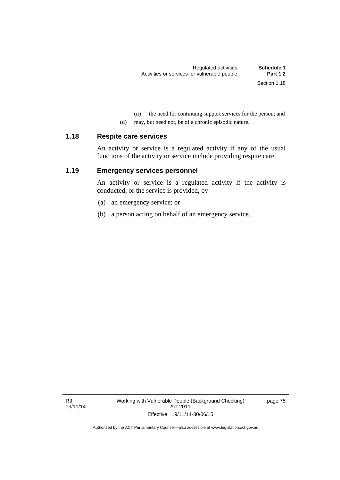(ii) the need for continuing support services for the person; and

(d) may, but need not, be of a chronic episodic nature.

#### **1.18 Respite care services**

An activity or service is a regulated activity if any of the usual functions of the activity or service include providing respite care.

# **1.19 Emergency services personnel**

An activity or service is a regulated activity if the activity is conducted, or the service is provided, by—

- (a) an emergency service; or
- (b) a person acting on behalf of an emergency service.

page 75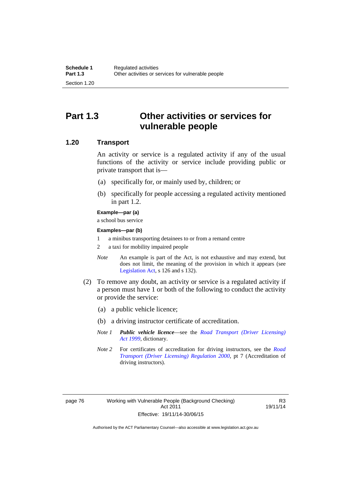# **Part 1.3 Other activities or services for vulnerable people**

# **1.20 Transport**

An activity or service is a regulated activity if any of the usual functions of the activity or service include providing public or private transport that is—

- (a) specifically for, or mainly used by, children; or
- (b) specifically for people accessing a regulated activity mentioned in part 1.2.

#### **Example—par (a)**

a school bus service

#### **Examples—par (b)**

- 1 a minibus transporting detainees to or from a remand centre
- 2 a taxi for mobility impaired people
- *Note* An example is part of the Act, is not exhaustive and may extend, but does not limit, the meaning of the provision in which it appears (see [Legislation Act,](http://www.legislation.act.gov.au/a/2001-14) s 126 and s 132).
- (2) To remove any doubt, an activity or service is a regulated activity if a person must have 1 or both of the following to conduct the activity or provide the service:
	- (a) a public vehicle licence;
	- (b) a driving instructor certificate of accreditation.
	- *Note 1 Public vehicle licence*—see the *[Road Transport \(Driver Licensing\)](http://www.legislation.act.gov.au/a/1999-78)  [Act 1999](http://www.legislation.act.gov.au/a/1999-78)*, dictionary.
	- *Note 2* For certificates of accreditation for driving instructors, see the *[Road](http://www.legislation.act.gov.au/sl/2000-14)  [Transport \(Driver Licensing\) Regulation 2000](http://www.legislation.act.gov.au/sl/2000-14)*, pt 7 (Accreditation of driving instructors).

R3 19/11/14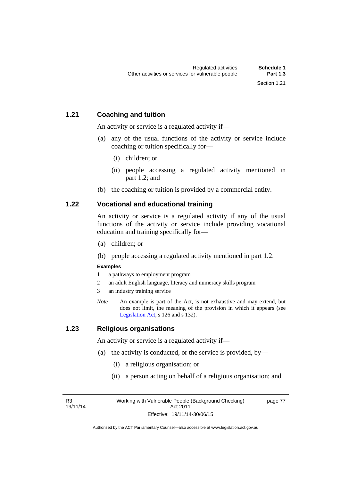# **1.21 Coaching and tuition**

An activity or service is a regulated activity if—

- (a) any of the usual functions of the activity or service include coaching or tuition specifically for—
	- (i) children; or
	- (ii) people accessing a regulated activity mentioned in part 1.2; and
- (b) the coaching or tuition is provided by a commercial entity.

# **1.22 Vocational and educational training**

An activity or service is a regulated activity if any of the usual functions of the activity or service include providing vocational education and training specifically for—

- (a) children; or
- (b) people accessing a regulated activity mentioned in part 1.2.

### **Examples**

- 1 a pathways to employment program
- 2 an adult English language, literacy and numeracy skills program
- 3 an industry training service
- *Note* An example is part of the Act, is not exhaustive and may extend, but does not limit, the meaning of the provision in which it appears (see [Legislation Act,](http://www.legislation.act.gov.au/a/2001-14) s 126 and s 132).

# **1.23 Religious organisations**

An activity or service is a regulated activity if—

- (a) the activity is conducted, or the service is provided, by—
	- (i) a religious organisation; or
	- (ii) a person acting on behalf of a religious organisation; and

R3 19/11/14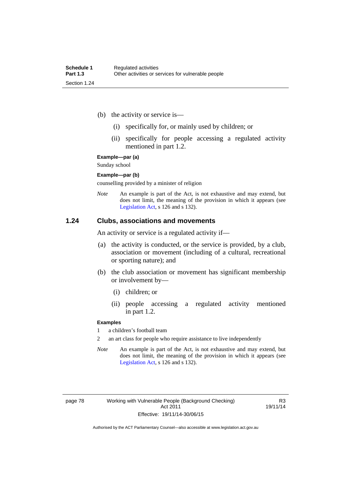- (b) the activity or service is—
	- (i) specifically for, or mainly used by children; or
	- (ii) specifically for people accessing a regulated activity mentioned in part 1.2.

#### **Example—par (a)**

Sunday school

#### **Example—par (b)**

counselling provided by a minister of religion

*Note* An example is part of the Act, is not exhaustive and may extend, but does not limit, the meaning of the provision in which it appears (see [Legislation Act,](http://www.legislation.act.gov.au/a/2001-14) s 126 and s 132).

## **1.24 Clubs, associations and movements**

An activity or service is a regulated activity if—

- (a) the activity is conducted, or the service is provided, by a club, association or movement (including of a cultural, recreational or sporting nature); and
- (b) the club association or movement has significant membership or involvement by—
	- (i) children; or
	- (ii) people accessing a regulated activity mentioned in part 1.2.

#### **Examples**

1 a children's football team

2 an art class for people who require assistance to live independently

*Note* An example is part of the Act, is not exhaustive and may extend, but does not limit, the meaning of the provision in which it appears (see [Legislation Act,](http://www.legislation.act.gov.au/a/2001-14) s 126 and s 132).

R3 19/11/14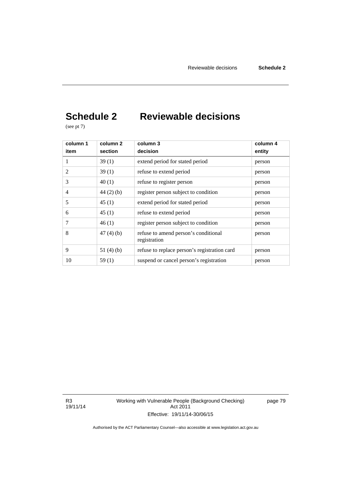# **Schedule 2 Reviewable decisions**

(see pt 7)

| column 1       | column 2    | column 3                                             | column 4 |
|----------------|-------------|------------------------------------------------------|----------|
| item           | section     | decision                                             | entity   |
| 1              | 39(1)       | extend period for stated period                      | person   |
| 2              | 39(1)       | refuse to extend period                              | person   |
| 3              | 40(1)       | refuse to register person                            | person   |
| $\overline{4}$ | $44(2)$ (b) | register person subject to condition                 | person   |
| 5              | 45(1)       | extend period for stated period                      | person   |
| 6              | 45(1)       | refuse to extend period                              | person   |
| 7              | 46(1)       | register person subject to condition                 | person   |
| 8              | 47(4)(b)    | refuse to amend person's conditional<br>registration | person   |
| 9              | 51 $(4)(b)$ | refuse to replace person's registration card         | person   |
| 10             | 59(1)       | suspend or cancel person's registration              | person   |

R3 19/11/14 Working with Vulnerable People (Background Checking) Act 2011 Effective: 19/11/14-30/06/15

page 79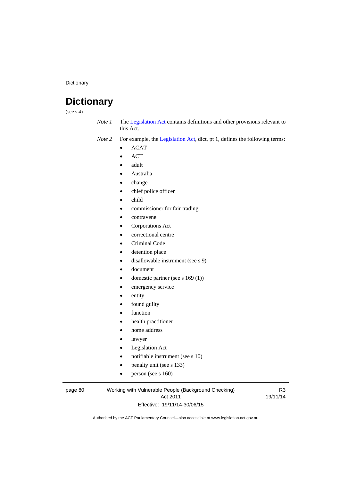**Dictionary** 

# **Dictionary**

(see  $s$  4)

*Note 1* The [Legislation Act](http://www.legislation.act.gov.au/a/2001-14) contains definitions and other provisions relevant to this Act.

*Note 2* For example, the [Legislation Act,](http://www.legislation.act.gov.au/a/2001-14) dict, pt 1, defines the following terms:

- $\bullet$  ACAT
- ACT
- adult
- Australia
- change
- chief police officer
- child
- commissioner for fair trading
- contravene
- Corporations Act
- correctional centre
- Criminal Code
- detention place
- disallowable instrument (see s 9)
- document
- domestic partner (see s 169 (1))
- emergency service
- entity
- found guilty
- function
- health practitioner
- home address
- lawyer
- Legislation Act
- notifiable instrument (see s 10)
- penalty unit (see s 133)
- $\bullet$  person (see s 160)

#### page 80 Working with Vulnerable People (Background Checking) Act 2011 Effective: 19/11/14-30/06/15

R3 19/11/14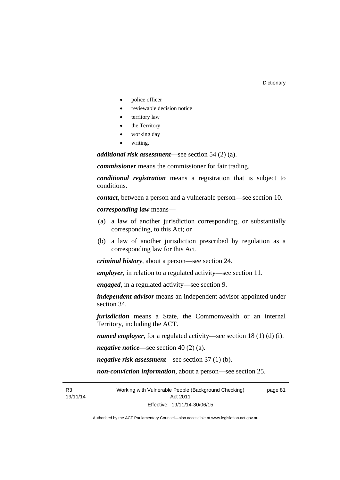- police officer
- reviewable decision notice
- territory law
- the Territory
- working day
- writing.

*additional risk assessment*—see section 54 (2) (a).

*commissioner* means the commissioner for fair trading.

*conditional registration* means a registration that is subject to conditions.

*contact*, between a person and a vulnerable person—see section 10.

*corresponding law* means—

- (a) a law of another jurisdiction corresponding, or substantially corresponding, to this Act; or
- (b) a law of another jurisdiction prescribed by regulation as a corresponding law for this Act.

*criminal history*, about a person—see section 24.

*employer*, in relation to a regulated activity—see section 11.

*engaged*, in a regulated activity—see section 9.

*independent advisor* means an independent advisor appointed under section 34.

*jurisdiction* means a State, the Commonwealth or an internal Territory, including the ACT.

*named employer*, for a regulated activity—see section 18 (1) (d) (i).

*negative notice*—see section 40 (2) (a).

*negative risk assessment*—see section 37 (1) (b).

*non-conviction information*, about a person—see section 25.

R3 19/11/14 Working with Vulnerable People (Background Checking) Act 2011 Effective: 19/11/14-30/06/15 page 81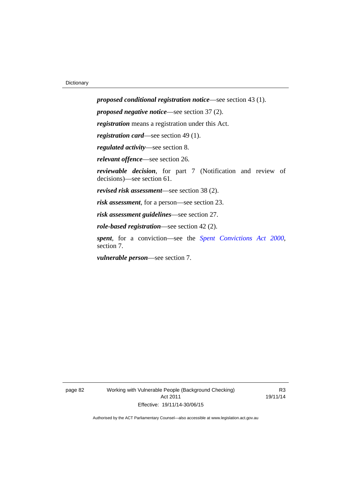*proposed conditional registration notice*—see section 43 (1). *proposed negative notice*—see section 37 (2). *registration* means a registration under this Act. *registration card*—see section 49 (1). *regulated activity*—see section 8. *relevant offence*—see section 26. *reviewable decision*, for part 7 (Notification and review of decisions)—see section 61. *revised risk assessment*—see section 38 (2). *risk assessment*, for a person—see section 23. *risk assessment guidelines*—see section 27. *role-based registration*—see section 42 (2). *spent*, for a conviction—see the *[Spent Convictions Act 2000](http://www.legislation.act.gov.au/a/2000-48)*, section 7.

*vulnerable person*—see section 7.

page 82 Working with Vulnerable People (Background Checking) Act 2011 Effective: 19/11/14-30/06/15

R3 19/11/14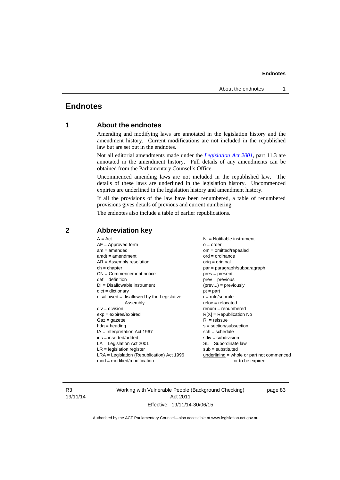# **Endnotes**

# **1 About the endnotes**

Amending and modifying laws are annotated in the legislation history and the amendment history. Current modifications are not included in the republished law but are set out in the endnotes.

Not all editorial amendments made under the *[Legislation Act 2001](http://www.legislation.act.gov.au/a/2001-14)*, part 11.3 are annotated in the amendment history. Full details of any amendments can be obtained from the Parliamentary Counsel's Office.

Uncommenced amending laws are not included in the republished law. The details of these laws are underlined in the legislation history. Uncommenced expiries are underlined in the legislation history and amendment history.

If all the provisions of the law have been renumbered, a table of renumbered provisions gives details of previous and current numbering.

The endnotes also include a table of earlier republications.

| $A = Act$<br>$AF =$ Approved form<br>$am = amended$<br>$amdt = amendment$<br>$AR = Assembly resolution$<br>$ch = chapter$<br>$CN =$ Commencement notice<br>$def = definition$<br>$DI = Disallowable instrument$<br>$dict = dictionary$<br>disallowed = disallowed by the Legislative<br>Assembly<br>$div = division$<br>$exp = expires/expired$<br>$Gaz = gazette$<br>$hdg = heading$<br>$IA = Interpretation Act 1967$<br>$ins = inserted/added$<br>$LA =$ Legislation Act 2001<br>$LR =$ legislation register | NI = Notifiable instrument<br>$o = order$<br>$om = omitted/repealed$<br>$ord = ordinance$<br>$orig = original$<br>par = paragraph/subparagraph<br>$pres = present$<br>$prev = previous$<br>$(\text{prev}) = \text{previously}$<br>$pt = part$<br>$r = rule/subrule$<br>$reloc = relocated$<br>$remum = renumbered$<br>$R[X]$ = Republication No<br>$RI = reissue$<br>$s = section/subsection$<br>$sch = schedule$<br>$sdiv = subdivision$<br>$SL = Subordinate$ law<br>$sub =$ substituted |
|-----------------------------------------------------------------------------------------------------------------------------------------------------------------------------------------------------------------------------------------------------------------------------------------------------------------------------------------------------------------------------------------------------------------------------------------------------------------------------------------------------------------|--------------------------------------------------------------------------------------------------------------------------------------------------------------------------------------------------------------------------------------------------------------------------------------------------------------------------------------------------------------------------------------------------------------------------------------------------------------------------------------------|
|                                                                                                                                                                                                                                                                                                                                                                                                                                                                                                                 |                                                                                                                                                                                                                                                                                                                                                                                                                                                                                            |
| $LRA =$ Legislation (Republication) Act 1996<br>$mod = modified/modification$                                                                                                                                                                                                                                                                                                                                                                                                                                   | $underlining = whole or part not commenced$<br>or to be expired                                                                                                                                                                                                                                                                                                                                                                                                                            |
|                                                                                                                                                                                                                                                                                                                                                                                                                                                                                                                 |                                                                                                                                                                                                                                                                                                                                                                                                                                                                                            |

### **2 Abbreviation key**

R3 19/11/14 Working with Vulnerable People (Background Checking) Act 2011 Effective: 19/11/14-30/06/15

page 83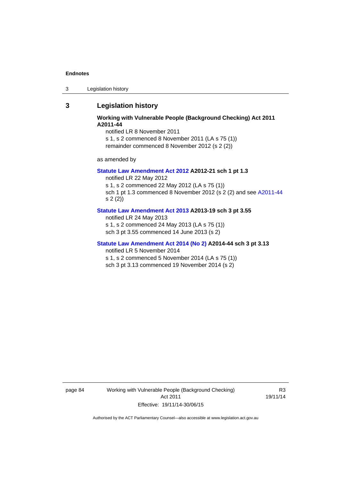3 Legislation history

# **3 Legislation history**

## **Working with Vulnerable People (Background Checking) Act 2011 A2011-44**

notified LR 8 November 2011

s 1, s 2 commenced 8 November 2011 (LA s 75 (1)) remainder commenced 8 November 2012 (s 2 (2))

as amended by

#### **[Statute Law Amendment Act 2012](http://www.legislation.act.gov.au/a/2012-21) A2012-21 sch 1 pt 1.3**

notified LR 22 May 2012

s 1, s 2 commenced 22 May 2012 (LA s 75 (1)) sch 1 pt 1.3 commenced 8 November 2012 (s 2 (2) and see [A2011-44](http://www.legislation.act.gov.au/a/2011-44) s 2 (2))

#### **[Statute Law Amendment Act 2013](http://www.legislation.act.gov.au/a/2013-19) A2013-19 sch 3 pt 3.55**

notified LR 24 May 2013 s 1, s 2 commenced 24 May 2013 (LA s 75 (1)) sch 3 pt 3.55 commenced 14 June 2013 (s 2)

#### **[Statute Law Amendment Act 2014 \(No 2\)](http://www.legislation.act.gov.au/a/2014-44) A2014-44 sch 3 pt 3.13**

notified LR 5 November 2014

s 1, s 2 commenced 5 November 2014 (LA s 75 (1))

sch 3 pt 3.13 commenced 19 November 2014 (s 2)

page 84 Working with Vulnerable People (Background Checking) Act 2011 Effective: 19/11/14-30/06/15

R3 19/11/14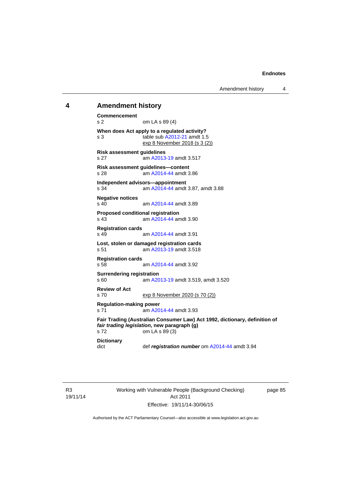#### **4 Amendment history**

```
Commencement 
s 2 om LA s 89 (4) 
When does Act apply to a regulated activity? 
s 3 table sub A2012-21 amdt 1.5 
               exp 8 November 2018 (s 3 (2))
Risk assessment guidelines 
s 27 am A2013-19 amdt 3.517
Risk assessment guidelines—content 
s 28 am A2014-44 amdt 3.86
Independent advisors—appointment 
s 34 am A2014-44 amdt 3.87, amdt 3.88 
Negative notices 
                A2014-44 amdt 3.89
Proposed conditional registration 
s 43 am A2014-44 amdt 3.90
Registration cards 
                A2014-44 amdt 3.91
Lost, stolen or damaged registration cards 
s 51 am A2013-19 amdt 3.518
Registration cards 
                A2014-44 amdt 3.92
Surrendering registration 
s 60 am A2013-19 amdt 3.519, amdt 3.520 
Review of Act 
s 70 exp 8 November 2020 (s 70 (2))
Regulation-making power 
s 71 A2014-44 amdt 3.93
Fair Trading (Australian Consumer Law) Act 1992, dictionary, definition of 
fair trading legislation, new paragraph (g) 
s 72 om LA s 89 (3) 
Dictionary 
dict def registration number om A2014-44 amdt 3.94
```
R3 19/11/14 Working with Vulnerable People (Background Checking) Act 2011 Effective: 19/11/14-30/06/15

page 85